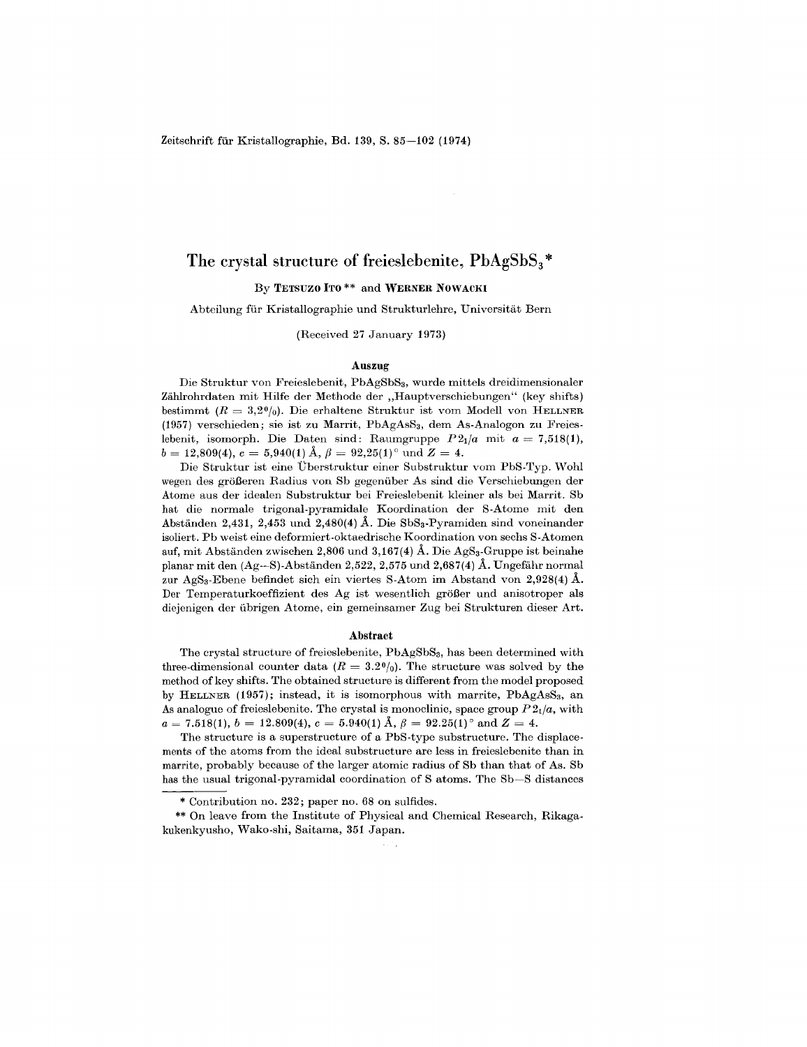Zeitschrift für Kristallographie, Bd. 139, S. 85-102 (1974)

# The crystal structure of freieslebenite,  $PbAgSbS<sub>3</sub>$ \*

By TETSUZO ITO \*\* and WERNER NOWACKI

Abteilung für Kristallographie und Strukturlehre, Universität Bern

(Received 27 January 1973)

#### Auszug

Die Struktur von Freieslebenit, PbAgSbSs, wurde mittels dreidimensionaler Zählrohrdaten mit Hilfe der Methode der "Hauptverschiebungen" (key shifts) bestimmt  $(R = 3,2^0/0)$ . Die erhaltene Struktur ist vom Modell von HELLNER (1957) verschieden; sie ist zu Marrit, PbAgAsS<sub>3</sub>, dem As-Analogon zu Freieslebenit, isomorph. Die Daten sind: Raumgruppe  $P2_1/a$  mit  $a = 7,518(1)$  $b = 12{,}809(4),\,c = 5{,}940(1)\,\text{\AA},\,\beta = 92{,}25(1)^\circ\,\,\text{und}\,\,Z = 4.$ 

Die Struktur ist eine Dberstruktur einer Substruktur vom PbS.Typ. Wohl wegen des größeren Radius von Sb gegenüber As sind die Verschiebungen der Atome aus der idealen Substruktur bei Freieslebenit kleiner als bei Marrit. Sb hat die normale trigonal-pyramidale Koordination der S-Atome mit den Abständen 2,431, 2,453 und 2,480(4) Å. Die SbS<sub>3</sub>-Pyramiden sind voneinander isoliert. Pb weist eine deformiert.oktaedrische Koordination von sechs S.Atomen auf, mit Abständen zwischen 2,806 und 3,167(4) Å. Die AgS<sub>3</sub>-Gruppe ist beinahe planar mit den  $(Ag-S)$ -Abständen 2,522, 2,575 und 2,687(4) Å. Ungefähr normal zur AgSs.Ebene befindet sich ein viertes S.Atom im Abstand von 2,928(4) A. Der Temperaturkoeffizient des  $Ag$  ist wesentlich größer und anisotroper als diejenigen der übrigen Atome, ein gemeinsamer Zug bei Strukturen dieser Art.

#### Abstract

The crystal structure of freieslebenite, PbAgSbSs, has been determined with three-dimensional counter data ( $R = 3.2\frac{0}{0}$ ). The structure was solved by the method of key shifts. The obtained structure is different from the model proposed by HELLNER (1957); instead, it is isomorphous with marrite,  $PbAgAsS<sub>3</sub>$ , an As analogue of freieslebenite. The crystal is monoclinic, space group  $P2_1/a$ , with  $a = 7.518(1), \, b = 12.809(4), \, c = 5.940(1) \text{ \AA}, \, \beta = 92.25(1)^\circ \text{ and } Z = 4.$ 

The structure is a superstructure of a PbS.type substructure. The displace. ments of the atoms from the ideal substructure are less in freieslebenite than in marrite, probably because of the larger atomic radius of Sb than that of As. Sb has the usual trigonal-pyramidal coordination of S atoms. The Sb—S distances

\*\* On leave from the Institute of Physical and Chemical Research, Rikag kukenkyusho, Wako.shi, Saitama, 351 Japan.

Contribution no. 232; paper no. 68 on sulfides.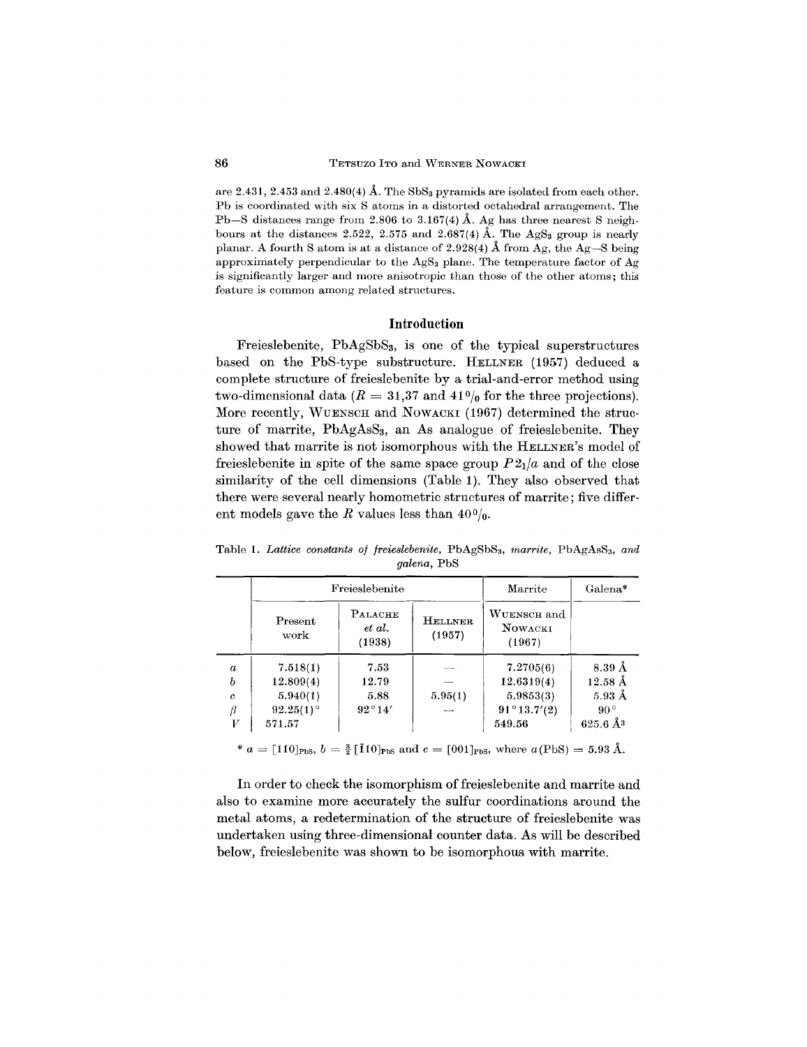are 2.431, 2.453 and 2.480(4) Å. The SbS<sub>3</sub> pyramids are isolated from each other. Pb is coordinated with six 8 atoms in a distorted octahedral arrangement. The Pb-8 distances range from 2.806 to 3.167(4) Å. Ag has three nearest S neighbours at the distances 2.522, 2.575 and 2.687(4) Å. The AgS<sub>3</sub> group is nearly planar. A fourth S atom is at a distance of 2.928(4) Å from Ag, the Ag-S being approximately perpendicular to the AgS<sub>3</sub> plane. The temperature factor of Ag is significantly larger and more anisotropic than those of the other atoms; this feature is common among related structures.

### **Introduction**

Freieslebenite, PbAgSbS<sub>3</sub>, is one of the typical superstructures based on the PbS-type substructure. HELLNER (1957) deduced a complete structure of freieslebenite by a trial-and-error method using two-dimensional data  $(R = 31,37 \text{ and } 41\frac{0}{0}$  for the three projections More recently, WUENSCH and NOWACKI (1967) determined the structure of marrite,  $PbAgAsS<sub>3</sub>$ , an As analogue of freieslebenite. They showed that marrite is not isomorphous with the HELLNER'S model of freieslebenite in spite of the same space group  $P2_1/a$  and of the close similarity of the cell dimensions (Table 1). They also observed that there were several nearly homometric structures of marrite; five different models gave the *R* values less than  $40\%$ .

Table 1. *Lattice constants of freieslebenite,* PbAg8b83, *marrite,* PbAgAs83, *and galena,* Pb8

|                  |                 | Freieslebenite                         | Marrite                  | Galena*                                 |                           |
|------------------|-----------------|----------------------------------------|--------------------------|-----------------------------------------|---------------------------|
|                  | Present<br>work | <b>PALACHE</b><br>$et \ al.$<br>(1938) | <b>HELLNER</b><br>(1957) | WUENSCH and<br><b>NOWACKI</b><br>(1967) |                           |
| $\boldsymbol{a}$ | 7.518(1)        | 7.53                                   |                          | 7.2705(6)                               | $8.39\,\text{\AA}$        |
| b                | 12.809(4)       | 12.79                                  |                          | 12.6319(4)                              | $12.58 \text{ Å}$         |
| $\mathfrak c$    | 5.940(1)        | 5.88                                   | 5.95(1)                  | 5.9853(3)                               | $5.93 \text{ Å}$          |
| β                | $92.25(1)$ °    | $92^{\circ}14'$                        |                          | $91^{\circ}13.7'(2)$                    | $90^{\circ}$              |
| V                | 571.57          |                                        |                          | 549.56                                  | $625.6\,\AA$ <sup>3</sup> |

 $* a = [110]_{\text{PbS}}, b = \frac{3}{2} [\bar{1}10]_{\text{PbS}} \text{ and } c = [001]_{\text{PbS}}, \text{ where } a(\text{PbS}) = 5.93 \text{ Å}.$ 

In order to check the isomorphism of freieslebenite and marrite and also to examine more accurately the sulfur coordinations around the metal atoms, a redetermination of the structure of freieslebenite was undertaken using three-dimensional counter data. As will be described below, freieslebenite was shown to be isomorphous with marrite.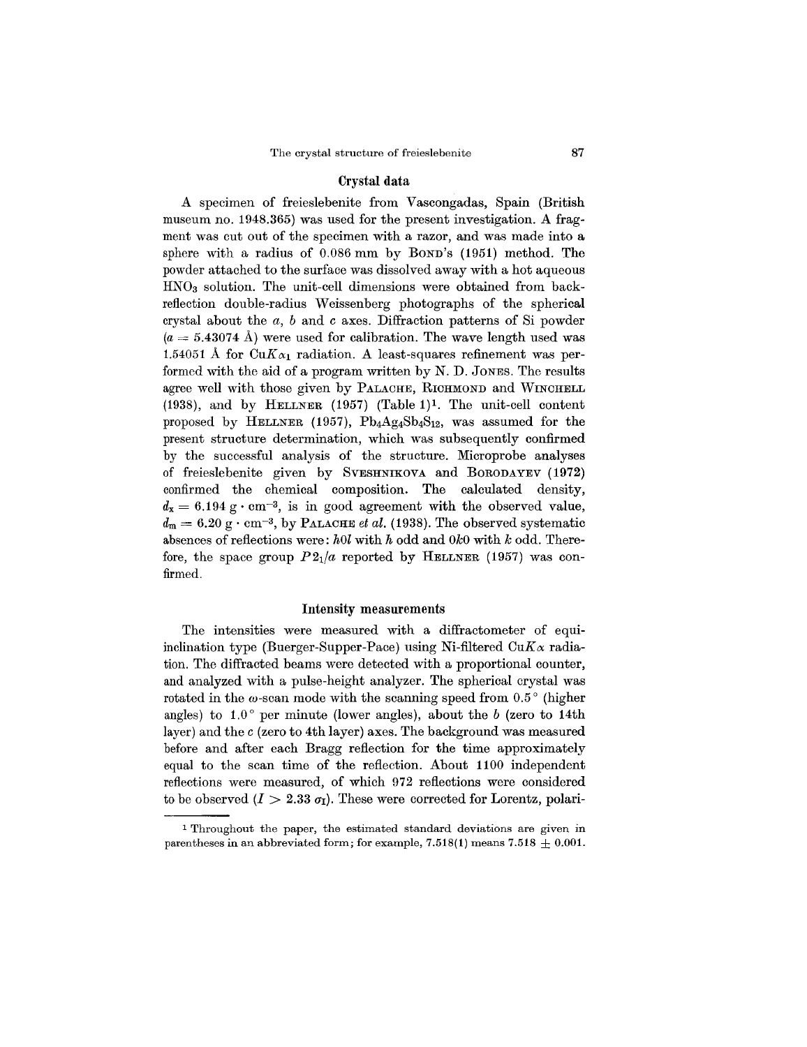#### Crystal data

A specimen of freieslebenite from Vascongadas, Spain (British museum no. 1948.365) was used for the present investigation. A fragment was cut out of the specimen with a razor, and was made into a sphere with a radius of 0.086 mm by BOND'S (1951) method. The powder attached to the surface was dissolved away with a hot aqueous  $HNO<sub>3</sub>$  solution. The unit-cell dimensions were obtained from backreflection double-radius Weissenberg photographs of the spherical crystal about the  $a, b$  and  $c$  axes. Diffraction patterns of Si powder  $(a = 5.43074 \text{ Å})$  were used for calibration. The wave length used was 1.54051 Å for  $CuK_{\alpha_1}$  radiation. A least-squares refinement was performed with the aid of a program written by N. D. JONES. The results agree well with those given by PALACHE, RICHMOND and WINCHELL (1938), and by HELLNER (1957) (Table 1)1. The unit-cell content proposed by HELLNER (1957),  $Pb_4Ag_4Sb_4S_{12}$ , was assumed for the present structure determination, which was subsequently confirmed by the successful analysis of the structure. Microprobe analyses of freieslebenite given by SVESHNIKOVA and BORODAYEV (1972) confirmed the chemical composition. The calculated density,  $d_{x} = 6.194 \text{ g} \cdot \text{cm}^{-3}$ , is in good agreement with the observed value,  $d_m = 6.20 \text{ g} \cdot \text{cm}^{-3}$ , by PALACHE *et al.* (1938). The observed systematic absences of reflections were: *hOl* with *h* odd and *OkO*with *k* odd. Therefore, the space group  $P2<sub>1</sub>/a$  reported by HELLNER (1957) was confirmed.

### Intensity measurements

The intensities were measured with a diffractometer of equiinclination type (Buerger-Supper-Pace) using Ni-filtered  $CuK\alpha$  radiation. The diffracted beams were detected with a proportional counter, and analyzed with a pulse-height analyzer. The spherical crystal was rotated in the  $\omega$ -scan mode with the scanning speed from 0.5 $^{\circ}$  (higher angles) to  $1.0^{\circ}$  per minute (lower angles), about the *b* (zero to 14th layer) and the c (zero to 4th layer) axes. The background was measured before and after each Bragg reflection for the time approximately equal to the scan time of the reflection. About 1100 independent reflections were measured, of which 972 reflections were considered to be observed  $(I > 2.33 \sigma_I)$ . These were corrected for Lorentz, polari-

<sup>1</sup> Throughout the paper, the estimated standard deviations are given in parentheses in an abbreviated form; for example, 7.518(1) means 7.518  $\pm$  0.001.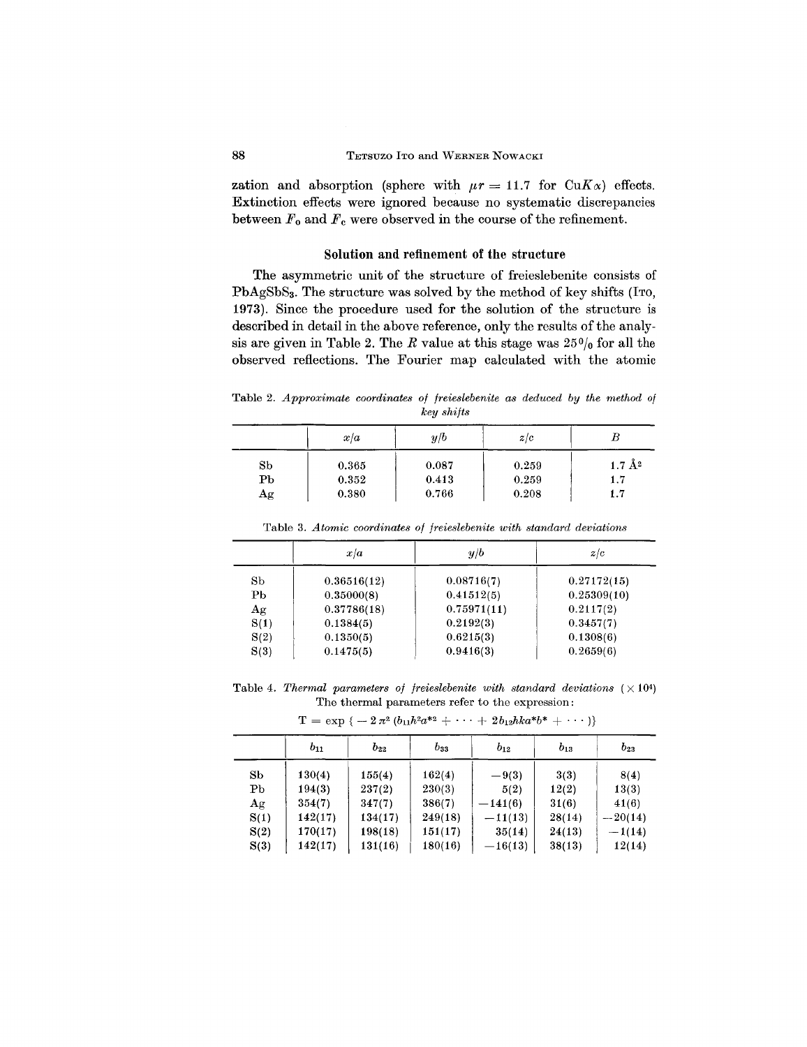zation and absorption (sphere with  $\mu r = 11.7$  for CuK $\alpha$ ) effects. Extinction effects were ignored because no systematic discrepancies between  $F_0$  and  $F_c$  were observed in the course of the refinement.

### Solution and refinement of the structure

The asymmetric unit of the structure of freieslebenite consists of PbAgSbSa. The structure was solved by the method of key shifts (ITO, 1973). Since the procedure used for the solution of the structure is described in detail in the above reference, only the results of the analysis are given in Table 2. The *R* value at this stage was  $25\%$  for all the observed reflections. The Fourier map calculated with the atomic

Table 2. *Approximate coordinates of freieslebenite as deduced by the method of key shifts*

|             | x/a   | y/b   | z/c   | Ь                 |
|-------------|-------|-------|-------|-------------------|
| Sb          | 0.365 | 0.087 | 0.259 | $1.7 \text{ Å}^2$ |
| $_{\rm Pb}$ | 0.352 | 0.413 | 0.259 | 1.7               |
| Аg          | 0.380 | 0.766 | 0.208 | 1.7               |

Table 3. *Atomic coordinates of freieslebenite with standard deviations*

|             | x/a         | y/b         | z/c         |
|-------------|-------------|-------------|-------------|
| Sb          | 0.36516(12) | 0.08716(7)  | 0.27172(15) |
| Рb          | 0.35000(8)  | 0.41512(5)  | 0.25309(10) |
| $_{\rm Ag}$ | 0.37786(18) | 0.75971(11) | 0.2117(2)   |
| S(1)        | 0.1384(5)   | 0.2192(3)   | 0.3457(7)   |
| S(2)        | 0.1350(5)   | 0.6215(3)   | 0.1308(6)   |
| S(3)        | 0.1475(5)   | 0.9416(3)   | 0.2659(6)   |

Table 4. Thermal parameters of freieslebenite with standard deviations  $(\times 10^4)$ The thermal parameters refer to the expression:

|                | $b_{11}$ | $b_{22}$ | $b_{33}$ | $b_{12}$  | $b_{13}$ | $b_{23}$  |
|----------------|----------|----------|----------|-----------|----------|-----------|
| Sb             | 130(4)   | 155(4)   | 162(4)   | $-9(3)$   | 3(3)     | 8(4)      |
| P <sub>b</sub> | 194(3)   | 237(2)   | 230(3)   | 5(2)      | 12(2)    | 13(3)     |
| Ag             | 354(7)   | 347(7)   | 386(7)   | $-141(6)$ | 31(6)    | 41(6)     |
| S(1)           | 142(17)  | 134(17)  | 249(18)  | $-11(13)$ | 28(14)   | $-20(14)$ |
| S(2)           | 170(17)  | 198(18)  | 151(17)  | 35(14)    | 24(13)   | $-1(14)$  |
| S(3)           | 142(17)  | 131(16)  | 180(16)  | $-16(13)$ | 38(13)   | 12(14)    |

 $T = \exp \{ -2 \pi^2 (b_{11} h^2 a^{*2} + \cdots + 2 b_{12} h k a^* b^* + \cdots) \}$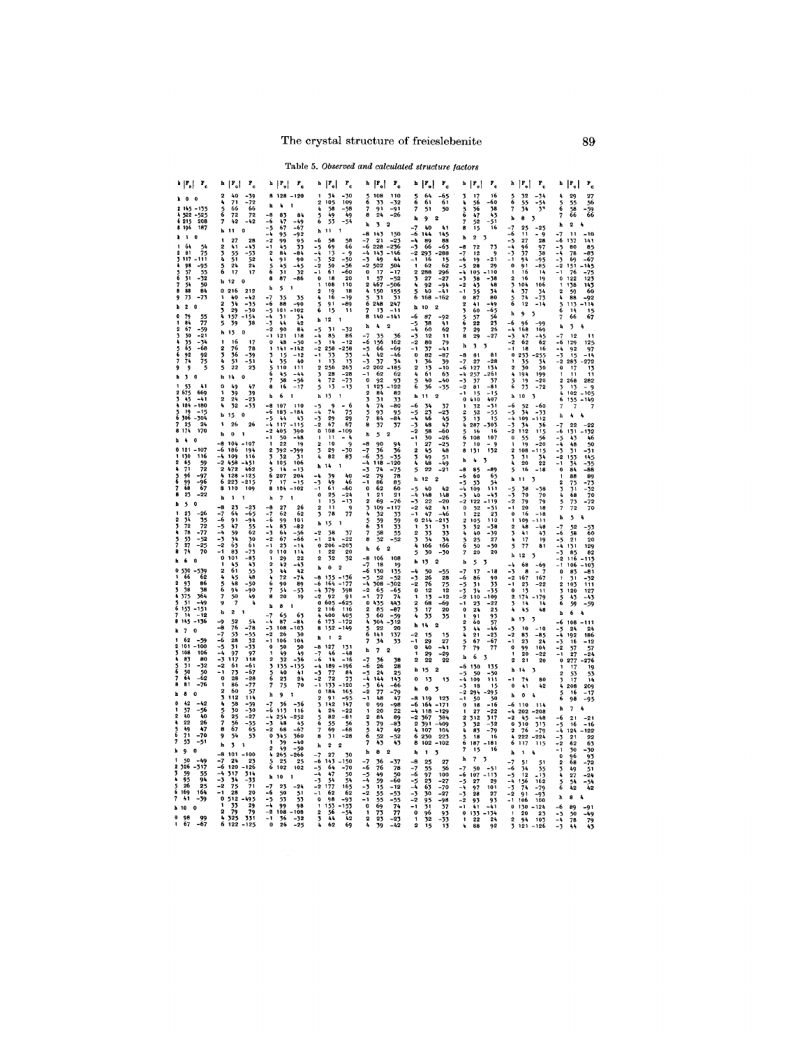|                                                                                                                                                                                                                                                                                                                                                                                                                                                                                                                                                                                                                                                                                                                                                                                                                                                                                              | ۲.                                                                                                                                                                                                                                                                                                                                                                                                                                                                                                                                                                                                                                                                                                                                                                                                                                                                                                                                                                                                                                                                                                                                                   |                                                                                                                                                                                                                                                                                                                                                                                                                                                                                                                                                                                                                                                                                                                                                                                                                                                                                                                                                                                                                                                                                                                                                       |                                                                                                                                                                                                                                                                                                                                                                                                                                                                                                                                                                                                                                                                                                                                                                                                                                                                                                                                                                                                                                                                                                                                                                                                                                                                                                                                                                                                                                                                                                      | $\mathbf{r}_{\rm e}$                                                                                                                                                                                                                                                                                                                                                                                                                                                                                                                                                                                                                                                                                                                                                                                                                                                                                                                                                                                                                                                                                                                                                                                                                                                                                                                                            | $\mathbf{r}$<br>٠.                                                                                                                                                                                                                                                                                                                                                                                                                                                                                                                                                                                                                                                                                                                                                                                                                                                                                                                                                                                                                                                                                                                              | ₽.<br>b                                                                                                                                                                                                                                                                                                                                                                                                                                                                                                                                                                                                                                                                                                                                                                                                                                                                                                                                                                                                                                                                                                                                                                                                                                                                                                                                                                                      | $\mathbf{r}_{\rm c}$                                                                                                                                                                                                                                                                                                                                                                                                                                                                                                                                                                                                                                                                                                                                                                                                                                                                                                                                                                                                                                                                                                                                                                                                                                                                                                                                                      |                                                                                                                                                                                                                                                                                                                                                                                                                                                                                                                                                                                                                                                                                                                                                                                                                                                                                                                                                                                                                                                               |
|----------------------------------------------------------------------------------------------------------------------------------------------------------------------------------------------------------------------------------------------------------------------------------------------------------------------------------------------------------------------------------------------------------------------------------------------------------------------------------------------------------------------------------------------------------------------------------------------------------------------------------------------------------------------------------------------------------------------------------------------------------------------------------------------------------------------------------------------------------------------------------------------|------------------------------------------------------------------------------------------------------------------------------------------------------------------------------------------------------------------------------------------------------------------------------------------------------------------------------------------------------------------------------------------------------------------------------------------------------------------------------------------------------------------------------------------------------------------------------------------------------------------------------------------------------------------------------------------------------------------------------------------------------------------------------------------------------------------------------------------------------------------------------------------------------------------------------------------------------------------------------------------------------------------------------------------------------------------------------------------------------------------------------------------------------|-------------------------------------------------------------------------------------------------------------------------------------------------------------------------------------------------------------------------------------------------------------------------------------------------------------------------------------------------------------------------------------------------------------------------------------------------------------------------------------------------------------------------------------------------------------------------------------------------------------------------------------------------------------------------------------------------------------------------------------------------------------------------------------------------------------------------------------------------------------------------------------------------------------------------------------------------------------------------------------------------------------------------------------------------------------------------------------------------------------------------------------------------------|------------------------------------------------------------------------------------------------------------------------------------------------------------------------------------------------------------------------------------------------------------------------------------------------------------------------------------------------------------------------------------------------------------------------------------------------------------------------------------------------------------------------------------------------------------------------------------------------------------------------------------------------------------------------------------------------------------------------------------------------------------------------------------------------------------------------------------------------------------------------------------------------------------------------------------------------------------------------------------------------------------------------------------------------------------------------------------------------------------------------------------------------------------------------------------------------------------------------------------------------------------------------------------------------------------------------------------------------------------------------------------------------------------------------------------------------------------------------------------------------------|-----------------------------------------------------------------------------------------------------------------------------------------------------------------------------------------------------------------------------------------------------------------------------------------------------------------------------------------------------------------------------------------------------------------------------------------------------------------------------------------------------------------------------------------------------------------------------------------------------------------------------------------------------------------------------------------------------------------------------------------------------------------------------------------------------------------------------------------------------------------------------------------------------------------------------------------------------------------------------------------------------------------------------------------------------------------------------------------------------------------------------------------------------------------------------------------------------------------------------------------------------------------------------------------------------------------------------------------------------------------|-------------------------------------------------------------------------------------------------------------------------------------------------------------------------------------------------------------------------------------------------------------------------------------------------------------------------------------------------------------------------------------------------------------------------------------------------------------------------------------------------------------------------------------------------------------------------------------------------------------------------------------------------------------------------------------------------------------------------------------------------------------------------------------------------------------------------------------------------------------------------------------------------------------------------------------------------------------------------------------------------------------------------------------------------------------------------------------------------------------------------------------------------|----------------------------------------------------------------------------------------------------------------------------------------------------------------------------------------------------------------------------------------------------------------------------------------------------------------------------------------------------------------------------------------------------------------------------------------------------------------------------------------------------------------------------------------------------------------------------------------------------------------------------------------------------------------------------------------------------------------------------------------------------------------------------------------------------------------------------------------------------------------------------------------------------------------------------------------------------------------------------------------------------------------------------------------------------------------------------------------------------------------------------------------------------------------------------------------------------------------------------------------------------------------------------------------------------------------------------------------------------------------------------------------------|---------------------------------------------------------------------------------------------------------------------------------------------------------------------------------------------------------------------------------------------------------------------------------------------------------------------------------------------------------------------------------------------------------------------------------------------------------------------------------------------------------------------------------------------------------------------------------------------------------------------------------------------------------------------------------------------------------------------------------------------------------------------------------------------------------------------------------------------------------------------------------------------------------------------------------------------------------------------------------------------------------------------------------------------------------------------------------------------------------------------------------------------------------------------------------------------------------------------------------------------------------------------------------------------------------------------------------------------------------------------------|---------------------------------------------------------------------------------------------------------------------------------------------------------------------------------------------------------------------------------------------------------------------------------------------------------------------------------------------------------------------------------------------------------------------------------------------------------------------------------------------------------------------------------------------------------------------------------------------------------------------------------------------------------------------------------------------------------------------------------------------------------------------------------------------------------------------------------------------------------------------------------------------------------------------------------------------------------------------------------------------------------------------------------------------------------------|
| 525<br>208<br>187<br>61<br>$\frac{54}{75}$<br>81<br>-95<br>98<br>$\frac{55}{-32}$<br>31<br>50<br>84<br>88<br>-73<br>$\overline{2}$<br>$\mathbf{0}$<br>79<br>55<br>77<br>- 59<br>- 21<br>67<br>30<br>-34<br>-68<br>65<br>$^{02}$<br>92<br>ر<br>3<br>9<br>$\overline{\mathbf{z}}$<br>$\mathbf{0}$<br>669<br>180<br>184<br>19<br>- 15<br>-304<br>306<br>24<br>170<br>121<br>107<br>116<br>65<br>$\frac{59}{72}$<br>71<br>96<br>$-97$<br>$-96$<br>67<br>99<br>68<br>$-22$<br>23<br>5<br>Ō<br>$-26$<br>23<br>$35$<br>$72$<br>$-77$<br>$-52$<br>$-25$<br>72<br>78<br>53<br>5<br>27<br>70<br>6<br>$\theta$<br>530<br>$\ddot{\mathbf{0}}$<br>66<br>62<br>$\overline{2}$<br>93<br>86<br>38<br>38<br>364<br>-49<br>-151<br>375<br>51<br>153<br>$-12$<br>14<br>-136<br>$\overline{7}$<br>0<br>62<br>$-59$<br>101<br>-100<br>106<br>108<br>80<br>83<br>31<br>-32<br>50<br>50<br>64<br>-62<br>81<br>$-76$ | 40<br>-39<br>456<br>71<br>66<br>66<br>72<br>$-12$<br>h<br>28<br>27<br>$-43$<br>$-53$<br>$-52$<br>234<br>41<br>55<br>5<br>6<br>24<br>24<br>h<br>12<br>0<br>216<br>$212$<br>$-42$<br>$-35$<br>$-30$<br>40<br>34<br>2<br>)<br>4<br>29<br>157<br>$-1\frac{6}{38}$<br>5<br>39<br>h<br>13<br>1<br>16<br>17<br>2<br>3<br>76<br>$78 - 39$<br>$-51$<br>$-23$<br>36<br>4<br>5<br>51<br>22<br>h<br>14<br>0<br>49<br>47<br>39<br>39<br>$\overline{2}$<br>$^{24}$<br>-23<br>32<br>15<br>b<br>26<br>26<br>h<br>$\ddot{\mathbf{0}}$<br>8<br>104<br>-6<br>186<br>194<br>116<br>109<br>$-2$<br>$4$<br>$6$<br>$8$<br>458<br>451<br>472<br>462<br>128<br>-125<br>223<br>$-215$<br>110<br>109<br>h<br>1<br>-8<br>23<br>$-7 - 6 - 5 - 3 - 3 - 2 - 1$<br>$-65$<br>64<br>91<br>-94<br>47<br>$\frac{55}{62}$<br>59<br>34<br>63<br>$\frac{30}{61}$<br>0<br>-83<br>101<br>1<br>43<br>61<br>2<br>4<br>55<br>48<br>567<br>-50<br>-90<br>94<br>50<br>7<br>49<br>9<br>b<br>2<br>$-8 - 7 - 6 - 5 - 4 - 3 - 1$<br>52<br>76<br>$548 - 5532$<br>$-5532 - 33797$<br>$-118$<br>$-61$<br>53<br>28<br>31<br>97<br>117<br>61<br>$\frac{73}{28}$<br>-67<br>$\pmb{\mathfrak{g}}$<br>-28<br>86 | -8<br>83<br>B <sub>4</sub><br>-6<br>-5<br>67<br>-67<br>-4<br>95<br>-92<br>-2<br>99<br>953<br>45<br>2<br>84<br>90<br>91<br>5<br>6<br>45<br>-45<br>32<br>8<br>87<br>5<br>h<br>-7<br>35<br>35<br>-6<br>88<br>$-90$<br>$-5$<br>01<br>102<br>31<br>34<br>-3<br>ī,<br>42<br>90<br>84<br>121<br>118<br>0<br>48<br>-50<br>141<br>142<br>ろんちん<br>15<br>- 12<br>35<br>40<br>110<br>111<br>$-44$<br>45<br>58<br>-56<br>8<br>16<br>6<br>b<br>107<br>-A<br>110<br>-6<br>183<br>184<br>44<br>43<br>-5<br>115<br>117<br>390<br>-2<br>405<br>50<br>-48<br>19<br>392<br>-399<br>105<br>106<br>- 13<br>6<br>207<br>204<br>$-15$<br>104<br>$-102$<br>$\overline{a}$<br>b<br>27<br>26<br>62<br>62<br>$\frac{-7}{-6}$<br>99<br>101<br>83<br>-82<br>64<br>-3<br>-2<br>- 56<br>67<br>-66<br>23<br>- 14<br>o<br>110<br>114<br>29<br>22<br>2<br>42<br>$-43$<br>42<br>3<br>44<br>72<br>.74<br>6<br>89<br>90<br>7<br>54<br>$-53$<br>8<br>20<br>19<br>8<br>h<br>65<br>$\frac{6}{8}$<br>-7<br>$\overline{3}$<br>108<br>103<br>$\frac{2}{1}$<br>26<br>30<br>106<br>104<br>O<br>50<br>50<br>$-36$<br>12356<br>49<br>32<br>135<br>$\frac{135}{41}$<br>40<br>24<br>23<br>7<br>70<br>75 | $r_{\rm c}$<br>54<br>-30<br>05<br>109<br>2<br>4<br>58<br>-58<br>5<br>6<br>49<br>49<br>53<br>$-54$<br>11<br>h<br>-6<br>58<br>58<br>66<br>$69$<br>$13$<br>$-5$<br>- 9<br>-50<br>-3<br>52<br>-2<br>$\frac{59}{61}$<br>-56<br>-60<br>$\mathbf{0}$<br>18<br>20<br>1<br>108<br>110<br>$\frac{18}{-19}$<br>$\overline{2}$<br>$\frac{19}{16}$<br>۹<br>5<br>6<br>91<br>15<br>$-89$<br>11<br>12<br>h<br>31<br>-5<br>85<br>86<br>-4<br>14<br>- 12<br>-3<br>-2<br>258<br>258<br>$\frac{33}{13}$<br>256<br>$\frac{33}{15}$<br>263<br>- 1<br>1234<br>28<br>$-28$<br>$-73$<br>72<br>13<br>- 13<br>5<br>13<br>$\mathbf{h}$<br>$\frac{9}{24}$<br>$\frac{29}{67}$<br>-5<br>- 6<br>$\frac{75}{29}$<br>-4<br>$-3$<br>$-2$<br>0<br>0<br>108<br>-109<br>- 4<br>11<br>9<br>2<br>3<br>10<br>-30<br>29<br>82<br>83<br>h<br>14<br>39<br>-4<br>40<br>$^{49}_{61}$<br>-3<br>46<br>$-60$<br>$-1$<br>-24<br>ò<br>$25$<br>$15$<br>$-13$<br>9<br>1<br>ū<br>2<br>$\overline{\mathbf{3}}$<br>77<br>78<br>15<br>h<br>-2<br>38<br>$\frac{37}{22}$<br>$^{24}$<br>$-1$<br>$-203$<br>$20$<br>0.206<br>22<br>$\mathbf{1}$<br>$\overline{2}$<br>32<br>32<br>$\mathbf 0$<br>h<br>-8<br>155<br>136<br>-6<br>164<br>-177<br>379<br>-4<br>398<br>-2<br>92<br>91<br>605<br>O<br>-625<br>$\overline{\mathbf{2}}$<br>116<br>116<br>400<br>405<br>6<br>172<br>173<br>8<br>152<br>h<br>$\mathbf{1}$<br>-8<br>127<br>131<br>$-46$<br>$189$<br>$77$<br>$72$<br>-7<br>$-48$<br>-6<br>- 16<br>196<br>84<br>73<br>$-4$<br>$-3$<br>$-2$<br>120<br>- 1<br>133 | 108<br>110<br>6<br>7<br>33<br>-32<br>-91<br>8<br>24<br>-26<br>h<br>$\overline{\mathbf{3}}$<br>-8<br>143<br>150<br>21<br>-7<br>-21<br>-6<br>228<br>$-236$<br>$-4$<br>$-3$<br>$-2$<br>0<br>1<br>143<br>49<br>146<br>$\mathbf{44}$<br>502<br>504<br>17<br>- 17<br>57<br>$-52$<br>2<br>4<br>5<br>6<br>467<br>506<br>$\frac{150}{31}$<br>$\frac{155}{31}$<br>$\frac{248}{13}$<br>247<br>7<br>-11<br>140<br>$-141$<br>4<br>h<br>-7<br>35<br>36<br>-6<br>56<br>162<br>$-5 + -3 = -10$<br>66<br>-69<br>42<br>-46<br>-34<br>185<br>$\frac{37}{202}$<br>62<br>62<br>92<br>93<br>122<br>123<br>234<br>82<br>84<br>31<br>33<br>-80<br>5<br>7<br>8<br>93<br>95<br>-84<br>84<br>37<br>37<br>h<br>5<br>$\overline{2}$<br>-8<br>90<br>$\frac{94}{36}$<br>$\frac{1}{36}$<br>-7<br>-6<br>-35<br>-4<br>118<br>120<br>-3<br>$74$<br>$79$<br>$86$<br>$-75$<br>$78$<br>$\frac{1}{2}$<br>85027677359355<br>01234<br>$\frac{62}{21}$<br>69<br>109<br>32<br>5<br>6<br>.<br>59<br>31<br>7<br>58<br>8<br>52<br>$-52$<br>h<br>6<br>108<br>-8<br>106<br>19<br>-7<br>18<br>-6<br>$\frac{135}{-52}$<br>130<br>52<br>-5<br>308<br>65<br>77<br>302<br>$\frac{-2}{1}$<br>$-65$<br>74<br>023456<br>443<br>$\frac{85}{60}$<br>304<br>-87<br>-59<br>-312<br>22<br>20<br>$\frac{137}{33}$<br>7<br>34<br>h<br>7<br>$\frac{1}{2}$<br>36<br>38<br>26<br>28<br>$\frac{25}{143}$<br>24<br>144<br>64<br>-66 | 64<br>-65<br>61<br>51<br>50<br>9<br>h<br>40<br>41<br>-6<br>144<br>145<br>88<br>89<br>66<br>-63<br>-3<br>293<br>288<br>$\frac{15}{62}$<br>62<br>$296 - 27$<br>$-94$<br>$-41$<br>288<br>27<br>92<br>40<br>168<br>- 162<br>10<br>h<br>2<br>-6<br>87<br>$-92$<br>ĥ١<br>38<br>-5<br>62<br>60<br>12<br>11<br>79<br>80<br>37<br>-41<br>82<br>-87<br>$\frac{36}{13}$<br>$\frac{39}{10}$<br>$\frac{63}{40}$<br>61<br>40<br>36<br>-35<br>11<br>h<br>-6<br>34<br>$37$<br>$-23$<br>$45$<br>$47$<br>$-60$<br>23<br>46<br>48<br>58<br>30<br>-5<br>$-4$<br>$-3$<br>$-2$<br>$-1$<br>-26<br>27.598<br>-25<br>48<br>2<br>51<br>3<br>-49<br>22<br>$-21$<br>5<br>12<br>$\mathbf h$<br>40<br>$\boldsymbol{k}$ 2<br>-5<br>-4<br><b>148</b><br>148<br>22<br>$-20$<br>-3<br>42<br>41<br>47<br>-46<br>214<br>213<br>$31$<br>$33$<br>$34$<br>$166$<br>31<br>2<br>33<br>34<br>166<br>30<br>5<br>-30<br>13<br>$\frac{50}{26}$<br>$-55$<br>28<br>-3<br>$\frac{76}{12}$<br>$\frac{75}{12}$<br>0<br>- 12<br>68<br>2<br>-69<br>$\frac{17}{33}$<br>20<br>35<br>15<br>15<br>-2<br>$\frac{29}{40}$<br>$\frac{27}{11}$<br>$\bf{0}$<br>29<br>-29<br>22<br>22<br>$\bf{0}$<br>13<br>13 | 17<br>うらうる<br>56<br>36<br>-60<br>38<br>47<br>45<br>52<br>-51<br>8<br>15<br>16<br>$\mathbf{2}$<br>h<br>-8<br>72<br>$\frac{73}{9}$<br>-7<br>12<br>-6<br>-21<br>19<br>-5<br>28<br>29<br>105<br>110<br>$-5$<br>$-3$<br>$-2$<br>38<br>-38<br>43<br>48<br>- 1<br>35<br>87<br>34<br>o<br>$\tilde{80}$<br>-49<br>2356<br>41<br>-65<br>60<br>$\frac{57}{22}$<br>56<br>23<br>26<br>29<br>29<br>8<br>27<br>3<br>h<br>81<br>-8<br>81<br>$\frac{-7}{-6}$<br>27<br>-28<br>134<br>127<br>261<br>-4<br>-3<br>$\begin{array}{r} 257 \\ 37 \\ 81 \end{array}$<br>37<br>-2<br>-81<br>15<br>$-15$<br>o<br>407<br>410<br>32<br>-31<br>2<br>52<br>-55<br>15<br>345678<br>13<br>$\frac{287}{16}$<br>$\frac{305}{16}$<br>107<br>108<br>10<br>132<br>131<br>h<br>4<br>-8<br>85<br>-89<br>-6<br>60<br>65<br>-5<br>53<br>54<br>$-4$<br>$-3$<br>$-2$<br>0<br>109<br>111<br>-43<br>40<br>122<br>119<br>$\overline{52}$<br>$-51$<br>$\overline{22}$<br>23<br>2<br>105<br>110<br>3<br>32<br>-38<br>4<br>40<br>-39<br>567<br>25<br>27<br>50<br>$-\frac{50}{20}$<br>20<br>h<br>5<br>17<br>$-18$<br>-7<br>-6<br>86<br>$\frac{90}{33}$<br>-5<br>-3<br>31<br>34<br>-35<br>-2<br>110<br>109<br>- 1<br>23<br>-22<br>0<br>24<br>$25$<br>93<br>57<br>-46<br>123457<br>91<br>60<br>$\frac{44}{21}$<br>-23<br>67<br>-67<br>77<br>79<br>6<br>h<br>3<br>135<br>-6<br>130<br>$\frac{-5}{4}$<br>50<br>-50<br>$\frac{109}{18}$<br>111<br>15 | 32<br>567<br>55<br>$-\frac{54}{3}$<br>b<br>8<br>$\overline{\mathbf{z}}$<br>$-7 - 6 - 5 - 4 - 3 - 1$<br>25<br>$-25$<br>11<br>27<br>20<br>96<br>37<br>91<br>91<br>$\frac{97}{38}$<br>-95<br>-85<br>16<br>14<br>2<br>3<br>4<br>16<br>19<br>104<br>106<br>$\frac{37}{74}$<br>$\frac{34}{-73}$<br>5<br>6<br>$-14$<br>9<br>h<br>$-6$<br>96<br>-99<br>$-4$<br>169<br>168<br>$-3$<br>47<br>-45<br>2<br>62<br>62<br>I<br>18<br>16<br>0<br>$\frac{253}{35}$<br>-255<br>34<br>$\frac{1}{2}$<br>30<br>もちら<br>$^{194}_{19}$<br>$\frac{199}{-20}$<br>73<br>$-72$<br>10<br>h<br>٦<br>-6<br>52<br>$-60$<br>$-5$<br>$-3$<br>$-3$<br>$-2$<br>0<br>1<br>34<br>109<br>112<br>112<br>55<br>19<br>$-33$<br>$-112$<br>36<br>$\frac{115}{56}$<br>-20<br>2<br>108<br>115<br>31<br>34<br>3<br>20<br>$^{22}$<br>5<br>16<br>h<br>Ħ<br>$-5$<br>$-3$<br>$-2$<br>$-1$<br>38<br>70<br>$-38$<br>70<br>79<br>18<br>79<br>20<br>0<br>16<br>$-18$<br>1<br>109<br>111<br>2<br>48<br>$-48$<br>345<br>41<br>43<br>17<br>19<br>77<br>81<br>h<br>12<br>3<br>68<br>-4<br>$-69$<br>$-7$<br>8<br>$\frac{-3}{2}$<br>167<br>167<br>$\frac{23}{13}$<br>-22<br>0<br>$\overline{\mathbf{1}}$<br>234<br>174<br>179<br>14<br>1k<br>45<br>48<br>h<br>13<br>3<br>10<br>-3<br>$-10$<br>-2<br>83<br>$-85$<br>-1<br>23<br>24<br>0<br>99<br>104<br>1<br>20<br>-22<br>2<br>21<br>20<br>14<br>h<br>74<br>- 1<br>80<br>$\bf{0}$<br>41 | 29<br>27<br>$\frac{5}{6}$<br>55<br>58<br>56<br>$\frac{59}{66}$<br>66<br>h<br>$\overline{2}$<br>11<br>$-10$<br>-6<br>137<br>$\frac{15}{1}$<br>80<br>85<br>78<br>$-67$<br>$-3$<br>$-2$<br>$-1$<br>0<br>$1$<br>$-2$<br>4<br>69<br>-67<br>151<br>76<br>122<br>123<br>$\frac{59}{88}$<br>60<br>-92<br>56<br>113<br>14<br>66<br>67<br>7<br>3<br>ħ<br>12<br>129<br>92<br>$\frac{-3}{-2}$<br>$\frac{15}{283}$<br>272<br>0<br>17<br>11<br>11<br>$\overline{2}$<br>268<br>282<br>13<br>102<br>155<br>$-149$<br>h<br>$-7 - 6 - 5 - 3 - 2 - 1$<br>22<br>131<br>43<br>48<br>31<br>46<br>50<br>145<br>o<br>84<br>88<br>89<br>2<br>75<br>ろそうて<br>31<br>32<br>68<br>70<br>73<br>-72<br>5<br>h<br>-7<br>52<br>-6<br>58<br>21<br>20<br>4-<br>131<br>129<br>$-3$<br>$-2$<br>$-1$<br>85<br>82<br>116<br>106<br>83<br>31<br>$\begin{smallmatrix}0\1\end{smallmatrix}$<br>-81<br>-32<br>2,356<br>103<br>111<br>127<br>43<br>59<br>6<br>b<br>-6<br>108<br>2 <sub>1</sub><br>-5<br>-4<br>-3<br>24<br>192<br>186<br>16<br>- 12<br>57<br>27<br>$\pmb{0}$<br>277<br>2<br>53<br>17<br>208 |
| 8<br>h<br>42<br>$-42$<br>57<br>-56<br>40<br>2<br>40<br>26<br>22<br>$\frac{57}{70}$<br>49<br>71<br>7<br>51<br>$-51$<br>9<br>50<br>-49<br>317<br>55<br>94<br>326<br>59<br>95<br>26<br>25<br>164<br>- 39                                                                                                                                                                                                                                                                                                                                                                                                                                                                                                                                                                                                                                                                                        | $-77$<br>57 14 59 70 77 55 55<br>57 -- 55 55 55<br>2<br>3<br>60<br>$-5678$<br>58<br>30<br>256<br>67<br>9<br>54<br>h<br>3<br>-8<br>101<br>100<br>$-764321012$<br>$24$<br>120<br>31734<br>75<br>28<br>$\frac{23}{126}$<br>$314 - 33 - 71$<br>-33<br>-20<br>$\frac{195}{29}$<br>512                                                                                                                                                                                                                                                                                                                                                                                                                                                                                                                                                                                                                                                                                                                                                                                                                                                                     | 9<br>h<br>36<br>-36<br>116<br>$-4$<br>$-3$<br>$-2$<br>$^{254}_{48}$<br>252<br>$^{45}$<br>68<br>-67<br>0<br>360<br>39<br>-40<br>2<br>49<br>265<br>266<br>25<br>25<br>102<br>102<br>10<br>b<br>$\frac{1}{2}$<br>23<br>50<br>55<br>99<br>$-24$<br>51<br>53<br>$-5$<br>98                                                                                                                                                                                                                                                                                                                                                                                                                                                                                                                                                                                                                                                                                                                                                                                                                                                                                 | 0<br>184<br>165<br>2<br>91<br>-95<br>3<br>142<br>147<br>24<br>-22<br>82<br>5<br>6<br>-81<br>56<br>55<br>-68<br>69<br>7<br>8<br>31<br>$-28$<br>2<br>h<br>27<br>30<br>-6<br>143<br>150<br>$647$<br>$47$<br>$54$<br>$177$<br>$62$<br>$-70$<br>50<br>54<br>55<br>55<br>62<br>-5<br>-4<br>-3<br>-2<br>- 1<br>$\frac{0}{1}$<br>98<br>153                                                                                                                                                                                                                                                                                                                                                                                                                                                                                                                                                                                                                                                                                                                                                                                                                                                                                                                                                                                                                                                                                                                                                                   | $-5$<br>$-4$<br>$-3$<br>$-2$<br>77<br>$-79$<br>48<br>O<br>99<br>$-98$<br>22<br>893<br>493<br>492<br>43<br>1<br>20<br>23567<br>84<br>79<br>47<br>52<br>43<br>h<br>8<br>-7<br>36<br>76<br>-378500125-0125-0125<br>-6<br>4959155569<br>$-54 - 3 - 10$<br>12                                                                                                                                                                                                                                                                                                                                                                                                                                                                                                                                                                                                                                                                                                                                                                                                                                                                                                                                                                                                                                                                                                        | 0<br>3<br>-8<br>119<br>123<br>171<br>118<br>$-129$<br>-2<br>384<br>367<br>2<br>391<br>409<br>107<br>104<br>230<br>221<br>102<br>- 102<br>h<br>1<br>25<br>27<br>59235051<br>56<br>$\frac{-7}{-6}$<br>100<br>-5<br>-43<br>-3 -2<br>-27<br>-70<br>-27                                                                                                                                                                                                                                                                                                                                                                                                                                                                                                                                                                                                                                                                                                                                                                                                                                                                                              | -3<br>-2<br>$\frac{294}{50}$<br>295<br>$\frac{56}{16}$<br>$\mathbf 0$<br>27<br>-22<br>234<br>312<br>317<br>32<br>-32<br>83<br>$-79$<br>16<br>18<br>$\frac{5}{6}$<br>187<br>181<br>15<br>16<br>h<br>7<br>50<br>-6<br>107<br>113<br>$-5$<br>$-5$<br>$-3$<br>27<br>29<br>97<br>101<br>$\frac{27}{93}$<br>28<br>-2<br>$\frac{93}{41}$<br>- 1                                                                                                                                                                                                                                                                                                                                                                                                                                                                                                                                                                                                                                                                                                                                                                                                                                                                                                                                                                                                                                                     | h<br>0<br>-6<br>110<br>-4<br>202<br>$-208$<br>$-2$<br>0<br>2<br>4<br>6<br>45<br>$-48$<br>310<br>313<br>-76<br>$-79$<br>222<br>$-224$<br>117<br>115<br>h<br>1<br>$\frac{51}{12}$<br>-7<br>$\frac{51}{35}$<br>-6<br>$-5$<br>$-3$<br>$-3$<br>$-1$<br>0<br><br>1<br><br>2<br>156<br>74<br>9106<br>150<br>20<br>94<br>162<br>$-79$<br>-93<br>100                                                                                                                                                                                                                                                                                                                                                                                                                                                                                                                                                                                                                                                                                                                                                                                                                                                                                                                                                                                                                               | 209<br>16<br>98<br>7<br>h<br>-6<br>21<br>-5<br>-4<br>-3<br>-2<br>16<br>124<br>122<br>21<br>22<br>62<br>63<br>- 1<br>30<br>-30<br>023456<br>$\frac{96}{68}$<br>$\frac{93}{72}$<br>$\frac{72}{24}$<br>49<br>27<br>$-54$<br>h<br>8<br>-6                                                                                                                                                                                                                                                                                                                                                                                                                                                                                                                                                                                                                                                                                                                                                                                                                         |
| 10<br>98<br>$\frac{99}{67}$                                                                                                                                                                                                                                                                                                                                                                                                                                                                                                                                                                                                                                                                                                                                                                                                                                                                  | 33<br>79<br>$\frac{1}{6}$<br>325<br>331<br>125                                                                                                                                                                                                                                                                                                                                                                                                                                                                                                                                                                                                                                                                                                                                                                                                                                                                                                                                                                                                                                                                                                       | -2<br>108<br>.108<br>- 1<br>36<br>-32<br>$\mathbf{0}$<br>26<br>-25                                                                                                                                                                                                                                                                                                                                                                                                                                                                                                                                                                                                                                                                                                                                                                                                                                                                                                                                                                                                                                                                                    | $-93$<br>$-93$<br>$-54$<br>$-2$<br>$\frac{2}{3}$<br>56<br>44<br>62<br>69                                                                                                                                                                                                                                                                                                                                                                                                                                                                                                                                                                                                                                                                                                                                                                                                                                                                                                                                                                                                                                                                                                                                                                                                                                                                                                                                                                                                                             | $\frac{75}{25}$<br>$-42$                                                                                                                                                                                                                                                                                                                                                                                                                                                                                                                                                                                                                                                                                                                                                                                                                                                                                                                                                                                                                                                                                                                                                                                                                                                                                                                                        | $-98$<br>$37$<br>$93$<br>$-32$<br>96<br>0<br>.<br>32<br>15                                                                                                                                                                                                                                                                                                                                                                                                                                                                                                                                                                                                                                                                                                                                                                                                                                                                                                                                                                                                                                                                                      | 0<br>$\frac{133}{22}$<br>134<br>24<br>92<br>88                                                                                                                                                                                                                                                                                                                                                                                                                                                                                                                                                                                                                                                                                                                                                                                                                                                                                                                                                                                                                                                                                                                                                                                                                                                                                                                                               | 124<br>23<br>103<br>$\overline{\mathbf{3}}$<br>$-126$<br>121                                                                                                                                                                                                                                                                                                                                                                                                                                                                                                                                                                                                                                                                                                                                                                                                                                                                                                                                                                                                                                                                                                                                                                                                                                                                                                              | 89<br>۱ (۹۰<br>$\frac{50}{78}$<br>- 5<br>- 4<br>- 3                                                                                                                                                                                                                                                                                                                                                                                                                                                                                                                                                                                                                                                                                                                                                                                                                                                                                                                                                                                                           |

 $2,3$  $\frac{5}{6}$  $\mathbf{h}$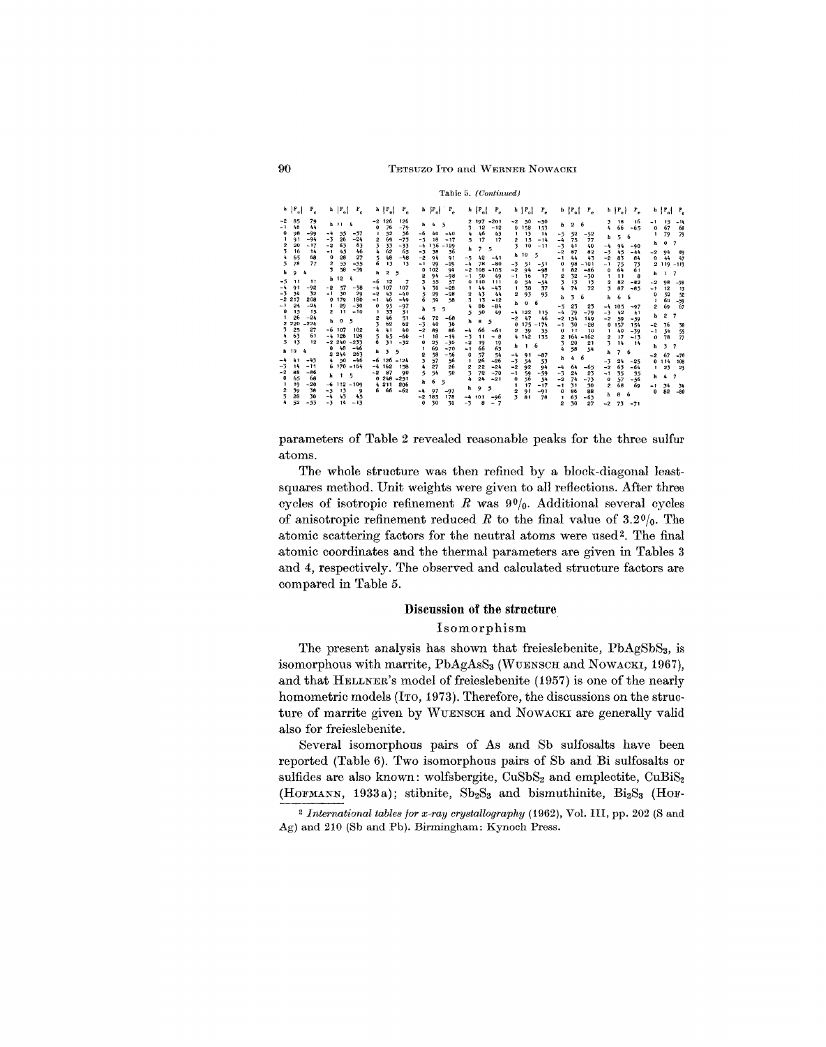Table 5. (Continued)

| $h$ $ F_{o} $<br>$P_{\rm e}$<br>$-2$<br>85<br>79<br>46<br>44<br>-1<br>$\mathbf 0$<br>98<br>$-99$<br>$-94$<br>91<br>-1<br>2<br>$-17$<br>20<br>3<br>16<br>14<br>65<br>68<br>4<br>5<br>78<br>77<br>h<br>9<br>4<br>$-5$<br>11<br>11<br>$-4$<br>91<br>$-92$<br>34<br>32<br>-3<br>217<br>$-2$<br>208<br>$-24$<br>$-1$<br>24<br>15<br>$\bf{0}$<br>15<br>26<br>$-24$<br>1<br>2 2 2 0<br>$-224$<br>25<br>27<br>3<br>63<br>61<br>4<br>5<br>13<br>12<br>h 10<br>4<br>$-4$ | $ F_{o} $<br>r.<br>h<br>h 11<br>4<br>55<br>$-4$<br>$-57$<br>26<br>$-3$<br>$-24$<br>63<br>63<br>$-2$<br>45<br>46<br>$-1$<br>28<br>$\bf{0}$<br>27<br>53<br>$-55$<br>2<br>58<br>$-59$<br>3<br>h <sub>12</sub><br>4<br>57<br>-2<br>$-58$<br>$-1$<br>30<br>29<br>179<br>180<br>$\mathbf{o}$<br>$-30$<br>29<br>$\mathbf{1}$<br>$-10$<br>$\mathbf{2}$<br>11<br>0<br>5<br>Þ<br>$-6$ 107<br>102<br>$-4$<br>126<br>129<br>$-2, 240$<br>$-233$<br>$-46$<br>48<br>$\Omega$<br>263<br>2.244 | $F_c$<br>$h \nmid F_{o}$<br>126<br>126<br>-2<br>76<br>$-79$<br>$\bf o$<br>52<br>56<br>69<br>$-73$<br>$\overline{2}$<br>3<br>33<br>-33<br>62<br>65<br>4<br>48<br>5<br>$-48$<br>6<br>13<br>13<br>2<br>5<br>h<br>$-6$<br>12<br>7<br>107<br>107<br>-4<br>43<br>$-2$<br>$-40$<br>46<br>$-49$<br>$-1$<br>95<br>0<br>$-97$<br>33<br>31<br>1<br>46<br>51<br>62<br>62<br>41<br>40<br>4<br>65<br>-66<br>5<br>6<br>31<br>$-32$<br>5<br>3<br>h | $ F_{o} $<br>$\mathbf{F}_{\rm e}$<br>h<br>5<br>$\frac{1}{2}$<br>h<br>-6<br>40<br>$-40$<br>18<br>$-5$<br>$-17$<br>-4<br>136<br>$-129$<br>38<br>36<br>$-3$<br>94<br>$-2$<br>91<br>29<br>$-1$<br>$-29$<br>102<br>0<br>99<br>94<br>$-98$<br>2<br>3<br>55<br>57<br>30<br>$-28$<br>4<br>5<br>29<br>$-28$<br>6<br>59<br>58<br>5<br>5<br>ħ<br>$-6$<br>72<br>-68<br>$-3$<br>40<br>36<br>$-2$<br>89<br>86<br>18<br>$-14$<br>$-1$<br>25<br>$-30$<br>$\Omega$<br>69<br>$-70$<br>58<br>2<br>-56 | $F_{\rm o}$<br>$r_c$<br>$-201$<br>197<br>12<br>$-12$<br>3<br>46<br>43<br>4<br>17<br>17<br>5<br>$\overline{z}$<br>h<br>5<br>42<br>$-5$<br>$-41$<br>$-4$<br>78<br>$-80$<br>$-2$<br>108<br>$-105$<br>50<br>$-1$<br>49<br>110<br>o<br>111<br>44<br>$-43$<br>1<br>43<br>$\overline{\mathbf{2}}$<br>44<br>3<br>13<br>$-12$<br>86<br>$-84$<br>4<br>5<br>50<br>49<br>ħ<br>8<br>5<br>66<br>$-4$<br>$-61$<br>$-3$<br>11<br>- 8<br>$-2$<br>19<br>19<br>66<br>63<br>$-1$<br>57<br>54<br>$\bf{0}$ | $h \nightharpoonup F_o$<br>$r_{\rm e}$<br>-2<br>50<br>$-50$<br>158<br>0<br>153<br>13<br>14<br>1<br>15<br>$-14$<br>2<br>3<br>10<br>$-11$<br>10<br>5<br>h.<br>$-3$<br>51<br>$-51$<br>$-2$<br>94<br>$-98$<br>16<br>17<br>-1<br>54<br>0<br>$-54$<br>38<br>$\mathbf{1}$<br>37<br>2<br>93<br>95<br>6<br>h<br>$\bf o$<br>122<br>115<br>-4<br>47<br>46<br>-2<br>175<br>$-174$<br>0<br>39<br>$\overline{2}$<br>35<br>4 142<br>135<br>6<br>h<br>$\mathbf{1}$<br>-4<br>91<br>$-87$ | $F_{o}$<br>$F_{\rm e}$<br>6<br>ħ<br>$\overline{2}$<br>$-5$<br>52<br>$-52$<br>$-4$<br>75<br>77<br>41<br>40<br>-3<br>82<br>$-2$<br>87<br>43<br>44<br>- 1<br>98<br>$-101$<br>0<br>82<br>$-86$<br>$\mathbf{1}$<br>32<br>$-30$<br>2<br>3<br>13<br>13<br>4<br>74<br>72<br>3<br>6<br>ħ<br>$-5$<br>23<br>23<br>79<br>$-79$<br>$-4$<br>154<br>-2<br>149<br>30<br>-1<br>$-28$<br>11<br>$\bf{0}$<br>10<br>164<br>$-162$<br>2<br>20<br>3<br>21<br>58<br>4<br>54<br>6<br>h<br>4 | $h \mid F_o$<br>Ρ,<br>18<br>16<br>3<br>66<br>$-65$<br>4<br>5<br>6<br>ь<br>-4<br>94<br>$-90$<br>$-3$<br>45<br>$-44$<br>83<br>$-2$<br>84<br>75<br>$-1$<br>73<br>64<br>61<br>o<br>8<br>f,<br>11<br>82<br>$\overline{2}$<br>$-82$<br>$\overline{\mathbf{3}}$<br>87<br>$-85$<br>6<br>6<br>h<br>105<br>-4<br>$-97$<br>42<br>$-3$<br>41<br>$-2$<br>59<br>$-59$<br>$\bullet$<br>157<br>154<br>40<br>$-39$<br>$\mathbf{1}$<br>17<br>$-13$<br>2<br>3<br>14<br>14<br>6<br>7<br>ħ | $b \mid P_o$<br>Р,<br>$-1$<br>15<br>$-11$<br>67<br>68<br>o<br>79<br>79<br>0<br>$\overline{\phantom{a}}$<br>h<br>$-2$<br>94<br>89<br>44<br>0<br>47<br>2 119 -113<br>7<br>h<br>л.<br>$-2$<br>98<br>$-98$<br>$-1$<br>12<br>13<br>52<br>52<br>0<br>60<br>$-59$<br>1<br>69<br>67<br>2<br>2<br>ħ<br>7<br>36<br>-2<br>58<br>54<br>$-1$<br>55<br>78<br>$\bf o$<br>77<br>$\overline{\mathbf{3}}$<br>7<br>ħ<br>67<br>$-2$<br>$-70$ |
|----------------------------------------------------------------------------------------------------------------------------------------------------------------------------------------------------------------------------------------------------------------------------------------------------------------------------------------------------------------------------------------------------------------------------------------------------------------|--------------------------------------------------------------------------------------------------------------------------------------------------------------------------------------------------------------------------------------------------------------------------------------------------------------------------------------------------------------------------------------------------------------------------------------------------------------------------------|------------------------------------------------------------------------------------------------------------------------------------------------------------------------------------------------------------------------------------------------------------------------------------------------------------------------------------------------------------------------------------------------------------------------------------|------------------------------------------------------------------------------------------------------------------------------------------------------------------------------------------------------------------------------------------------------------------------------------------------------------------------------------------------------------------------------------------------------------------------------------------------------------------------------------|--------------------------------------------------------------------------------------------------------------------------------------------------------------------------------------------------------------------------------------------------------------------------------------------------------------------------------------------------------------------------------------------------------------------------------------------------------------------------------------|-------------------------------------------------------------------------------------------------------------------------------------------------------------------------------------------------------------------------------------------------------------------------------------------------------------------------------------------------------------------------------------------------------------------------------------------------------------------------|--------------------------------------------------------------------------------------------------------------------------------------------------------------------------------------------------------------------------------------------------------------------------------------------------------------------------------------------------------------------------------------------------------------------------------------------------------------------|-----------------------------------------------------------------------------------------------------------------------------------------------------------------------------------------------------------------------------------------------------------------------------------------------------------------------------------------------------------------------------------------------------------------------------------------------------------------------|--------------------------------------------------------------------------------------------------------------------------------------------------------------------------------------------------------------------------------------------------------------------------------------------------------------------------------------------------------------------------------------------------------------------------|
| 41<br>$-43$<br>$-3$<br>14<br>-11<br>$-2$<br>88<br>$-86$<br>68<br>65<br>$\mathbf{0}$<br>$-20$<br>19<br>39<br>38<br>2<br>28<br>30<br>4<br>52<br>$-53$                                                                                                                                                                                                                                                                                                            | $-46$<br>50<br>$\ddot{\bullet}$<br>$-164$<br>6 170<br>5<br>1<br>h<br>$-6$ 112 $-109$<br>13<br>-5<br>9<br>43<br>45<br>$-4$<br>$-3$<br>14<br>$-13$                                                                                                                                                                                                                                                                                                                               | $-6$ 126<br>$-124$<br>-4<br>162<br>158<br>87<br>$-2$<br>90<br>248<br>$-251$<br>0<br>4 211<br>206<br>66<br>$-62$<br>6                                                                                                                                                                                                                                                                                                               | 57<br>3<br>56<br>27<br>26<br>4<br>5<br>54<br>50<br>6<br>5<br>ħ<br>97<br>-4<br>$-97$<br>185<br>178<br>$-2$<br>30<br>30<br>0                                                                                                                                                                                                                                                                                                                                                         | 26<br>$-26$<br>1<br>$-24$<br>22<br>2<br>72<br>$-70$<br>3<br>24<br>$-21$<br>4<br>5<br>h<br>9<br>$-4$<br>101<br>-96<br>$-3$<br>8<br>$\overline{7}$<br>$\overline{\phantom{a}}$                                                                                                                                                                                                                                                                                                         | -3<br>54<br>53<br>$-2$<br>92<br>94<br>59<br>$-59$<br>-1<br>0<br>56<br>54<br>17<br>$-17$<br>1<br>91<br>$-91$<br>3<br>81<br>78                                                                                                                                                                                                                                                                                                                                            | 64<br>-4<br>$-65$<br>$-3$<br>24<br>23<br>74<br>-2<br>$-73$<br>-1<br>31<br>30<br>86<br>88<br>0<br>63<br>$-63$<br>J.<br>30<br>2<br>27                                                                                                                                                                                                                                                                                                                                | -3<br>24<br>$-25$<br>63<br>$-2$<br>$-64$<br>35<br>$-1$<br>35<br>- 56<br>57<br>0<br>68<br>2<br>69<br>6<br>8<br>h<br>73<br>$-2$<br>$-71$                                                                                                                                                                                                                                                                                                                                | 0.114<br>108<br>23<br>23<br>$\mathbf{1}$<br>4<br>h<br>7<br>34<br>-1<br>-34<br>$-80$<br>82<br>0                                                                                                                                                                                                                                                                                                                           |

parameters of Table 2 revealed reasonable peaks for the three sulfur atoms.

The whole structure was then refined by a block-diagonal leastsquares method. Unit weights were given to all reflections. After three cycles of isotropic refinement  $R$  was  $90/6$ . Additional several cycles of anisotropic refinement reduced R to the final value of  $3.2\frac{0}{0}$ . The atomic scattering factors for the neutral atoms were used<sup>2</sup>. The final atomic coordinates and the thermal parameters are given in Tables 3 and 4, respectively. The observed and calculated structure factors are compared in Table 5.

## Discussion of the structure

### Isomorphism

The present analysis has shown that freieslebenite, PbAgSbS<sub>3</sub>, is isomorphous with marrite, PbAgAsS<sub>3</sub> (WUENSCH and NOWACKI, 1967), and that HELLNER's model of freieslebenite (1957) is one of the nearly homometric models (ITO, 1973). Therefore, the discussions on the structure of marrite given by WUENSCH and NOWACKI are generally valid also for freieslebenite.

Several isomorphous pairs of As and Sb sulfosalts have been reported (Table 6). Two isomorphous pairs of Sb and Bi sulfosalts or sulfides are also known: wolfsbergite, CuSbS<sub>2</sub> and emplectite, CuBiS<sub>2</sub> (HOFMANN, 1933a); stibnite, Sb<sub>2</sub>S<sub>3</sub> and bismuthinite, Bi<sub>2</sub>S<sub>3</sub> (HOF-

90

<sup>&</sup>lt;sup>2</sup> International tables for x-ray crystallography (1962), Vol. III, pp. 202 (S and Ag) and 210 (Sb and Pb). Birmingham: Kynoch Press.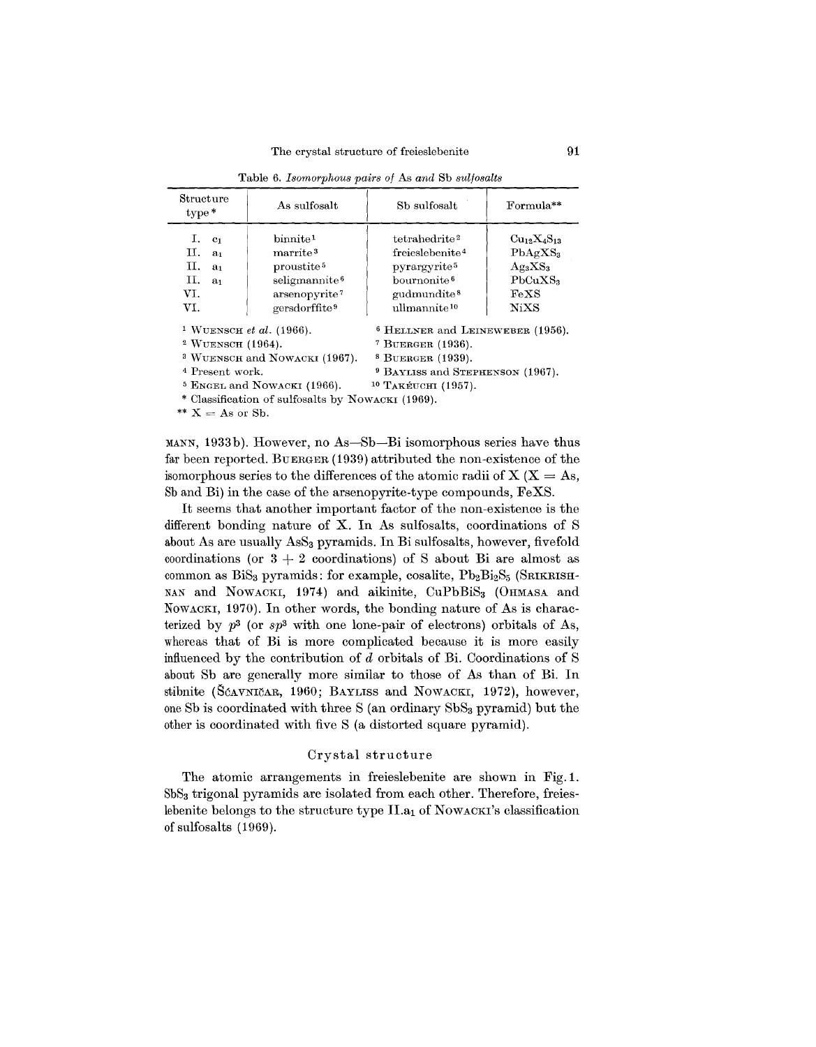| Structure<br>$type*$                                                                                       | As sulfosalt                                                                                                                                              | Sb sulfosalt                                                                                                                                                           | Formula**                                                                                          |  |  |  |
|------------------------------------------------------------------------------------------------------------|-----------------------------------------------------------------------------------------------------------------------------------------------------------|------------------------------------------------------------------------------------------------------------------------------------------------------------------------|----------------------------------------------------------------------------------------------------|--|--|--|
| I.<br>C <sub>1</sub><br>П.<br>a <sub>1</sub><br>п.<br>a <sub>1</sub><br>н.<br>a <sub>1</sub><br>VI.<br>VI. | binmite <sup>1</sup><br>$\rm{marrite}^3$<br>proustite <sup>5</sup><br>seligmannite <sup>6</sup><br>arsenopyrite <sup>7</sup><br>gersdorffite <sup>9</sup> | tetrahedrite <sup>2</sup><br>freieslebenite <sup>4</sup><br>pyrargyrite <sup>5</sup><br>bournonite <sup>6</sup><br>gudmundite <sup>8</sup><br>ullmannite <sup>10</sup> | $Cu_{12}X_{4}S_{13}$<br>$PhAgXS_3$<br>$\rm Ag_3XS_3$<br>PbCuXS <sub>3</sub><br>FeXS<br><b>NiXS</b> |  |  |  |
| <sup>1</sup> WUENSCH <i>et al.</i> (1966).<br><sup>2</sup> WUENSCH $(1964)$ .                              |                                                                                                                                                           | <sup>6</sup> HELLNER and LEINEWEBER (1956).<br><sup>7</sup> BUERGER $(1936)$ .                                                                                         |                                                                                                    |  |  |  |
|                                                                                                            | <sup>3</sup> WUENSCH and NOWACKI (1967).                                                                                                                  | $8$ BUERGER $(1939)$ .                                                                                                                                                 |                                                                                                    |  |  |  |

Table 6. *Isomorphous pairs of* As *and* Sb *sulfosalts*

<sup>4</sup> Present work. <sup>9</sup> BAYLISS and STEPHENSON (1967).

 $5$  ENGEL and NOWACKI (1966).  $10$  TAKÉUCHI (1957).

Classification of sulfosalts by NOWACKI (1969).

\*\*  $X = As$  or Sb.

MANN, 1933b). However, no As-Sb-Bi isomorphous series have thus far been reported. BUERGER (1939) attributed the non-existence of the isomorphous series to the differences of the atomic radii of  $X$  ( $X = As$ , 8b and Bi) in the case of the arsenopyrite-type compounds, FeXS.

It seems that another important factor of the non-existence is the different bonding nature of X. In As sulfosalts, coordinations of S about As are usually AsS<sub>3</sub> pyramids. In Bi sulfosalts, however, fivefold coordinations (or  $3 + 2$  coordinations) of S about Bi are almost as common as  $\text{BiS}_3$  pyramids: for example, cosalite,  $\text{Pb}_2\text{Bi}_2\text{S}_5$  (SRIKRISH-NAN and NOWACKI, 1974) and aikinite, CuPbBiS<sub>3</sub> (OHMASA and NOWACKI, 1970). In other words, the bonding nature of As is characterized by  $p^3$  (or  $sp^3$  with one lone-pair of electrons) orbitals of As, whereas that of Bi is more complicated because it is more easily influenced by the contribution of *d* orbitals of Bi. Coordinations of S about Sb are generally more similar to those of As than of Bi. In stibnite (SCAVNICAR, 1960; BAYLISS and NOWACKI, 1972), however, one Sb is coordinated with three S (an ordinary  $SbS<sub>3</sub>$  pyramid) but the other is coordinated with five S (a distorted square pyramid).

### Crystal structure

The atomic arrangements in freieslebenite are shown in Fig. 1. 8b83 trigonal pyramids are isolated from each other. Therefore, freieslebenite belongs to the structure type  $II.a<sub>1</sub>$  of NOWACKI's classification of sulfosalts (1969).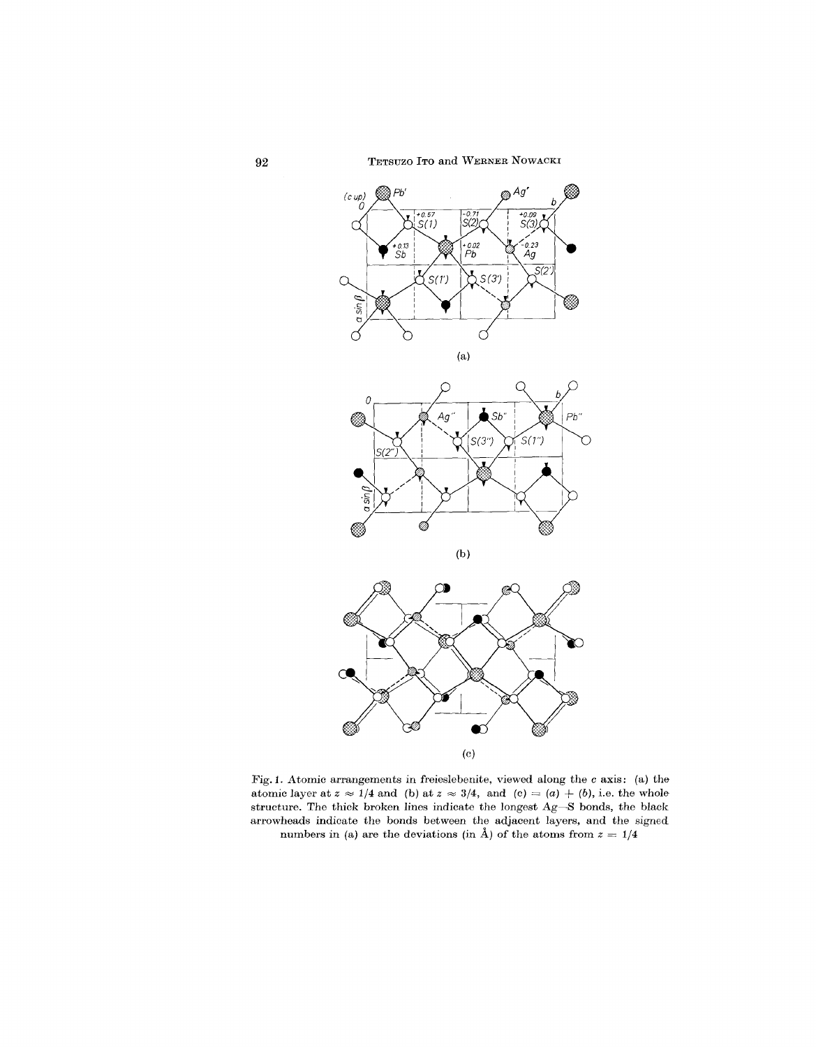**92** TETSUZO ITO and WERNER NOWACKI



Fig. L Atomic arrangements in freieslebenite, viewed along the *c* axis: (a) the atomic layer at  $z \approx 1/4$  and (b) at  $z \approx 3/4$ , and (c) = (a) + (b), i.e. the whole structure. The thick broken lines indicate the longest Ag-S bonds, the black arrowheads indicate the bonds between the adjacent layers, and the signed numbers in (a) are the deviations (in A) of the atoms from  $z = 1/4$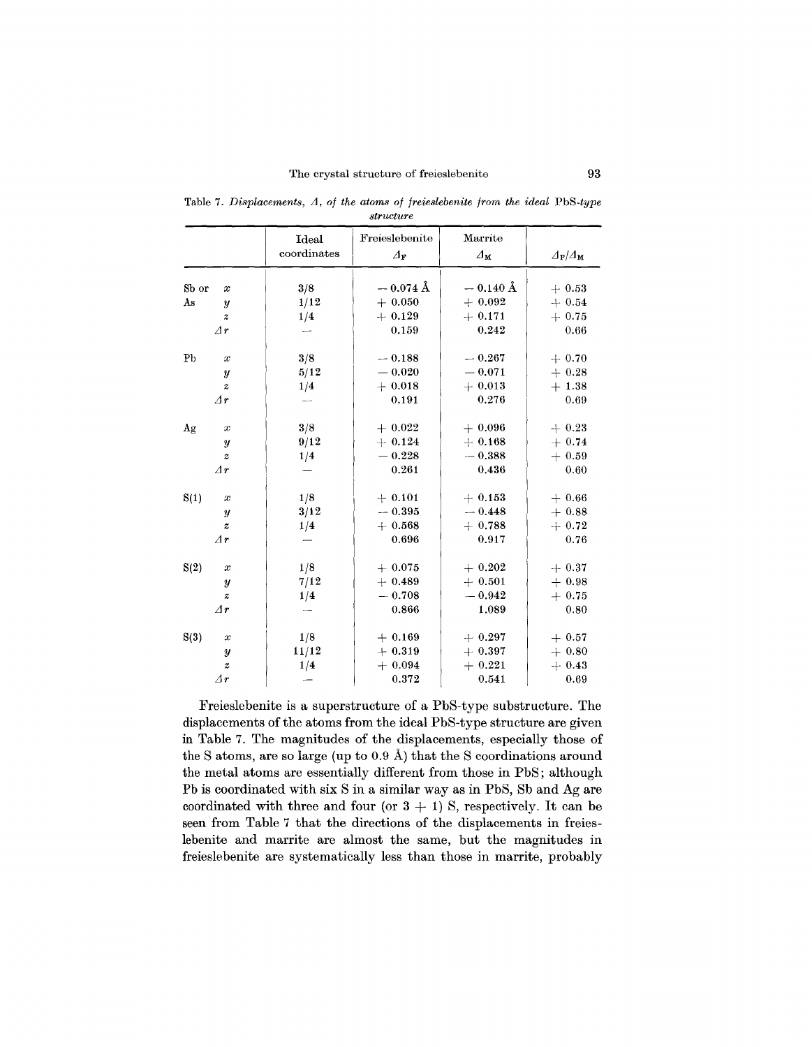Table 7. *Displacements*,  $\Delta$ , *of the atoms of freieslebenite from the ideal* PbS-type *structure* **STAR**  $Marrit$  $_{\rm Idet}$ 

| coordinates<br>$\varDelta_{\mathbf{M}}$<br>$\varDelta_{\mathbf{F}}$<br>$\varDelta_{\mathbf{F}}/\varDelta_{\mathbf{M}}$<br>$-0.074$ Å<br>$-0.140$ Å<br>Sb or<br>3/8<br>$+0.53$<br>$\boldsymbol{x}$<br>$+0.050$<br>$+0.092$<br>1/12<br>As<br>$+0.54$<br>$\boldsymbol{y}$<br>$+0.129$<br>$+0.171$<br>$+0.75$<br>1/4<br>$\boldsymbol{z}$<br>0.159<br>0.242<br>$\varDelta r$<br>0.66<br>Pb<br>3/8<br>$-0.188$<br>$-0.267$<br>$+0.70$<br>$\boldsymbol{x}$<br>$-0.020$<br>$-0.071$<br>5/12<br>$+0.28$<br>$\boldsymbol{y}$<br>$+0.013$<br>$+0.018$<br>$+1.38$<br>1/4<br>$\boldsymbol{z}$<br>$\varDelta r$<br>0.191<br>0.276<br>0.69<br>$\overline{\phantom{0}}$<br>3/8<br>$+0.022$<br>$+0.096$<br>Ag<br>$+0.23$<br>$\boldsymbol{x}$<br>9/12<br>$+0.124$<br>$+0.168$<br>$+0.74$<br>$\boldsymbol{y}$<br>$-0.228$<br>$-0.388$<br>$+0.59$<br>1/4<br>$\boldsymbol{z}$<br>$\varDelta r$<br>0.261<br>0.436<br>0.60 |
|-----------------------------------------------------------------------------------------------------------------------------------------------------------------------------------------------------------------------------------------------------------------------------------------------------------------------------------------------------------------------------------------------------------------------------------------------------------------------------------------------------------------------------------------------------------------------------------------------------------------------------------------------------------------------------------------------------------------------------------------------------------------------------------------------------------------------------------------------------------------------------------------------------|
|                                                                                                                                                                                                                                                                                                                                                                                                                                                                                                                                                                                                                                                                                                                                                                                                                                                                                                     |
|                                                                                                                                                                                                                                                                                                                                                                                                                                                                                                                                                                                                                                                                                                                                                                                                                                                                                                     |
|                                                                                                                                                                                                                                                                                                                                                                                                                                                                                                                                                                                                                                                                                                                                                                                                                                                                                                     |
|                                                                                                                                                                                                                                                                                                                                                                                                                                                                                                                                                                                                                                                                                                                                                                                                                                                                                                     |
|                                                                                                                                                                                                                                                                                                                                                                                                                                                                                                                                                                                                                                                                                                                                                                                                                                                                                                     |
|                                                                                                                                                                                                                                                                                                                                                                                                                                                                                                                                                                                                                                                                                                                                                                                                                                                                                                     |
|                                                                                                                                                                                                                                                                                                                                                                                                                                                                                                                                                                                                                                                                                                                                                                                                                                                                                                     |
|                                                                                                                                                                                                                                                                                                                                                                                                                                                                                                                                                                                                                                                                                                                                                                                                                                                                                                     |
|                                                                                                                                                                                                                                                                                                                                                                                                                                                                                                                                                                                                                                                                                                                                                                                                                                                                                                     |
|                                                                                                                                                                                                                                                                                                                                                                                                                                                                                                                                                                                                                                                                                                                                                                                                                                                                                                     |
|                                                                                                                                                                                                                                                                                                                                                                                                                                                                                                                                                                                                                                                                                                                                                                                                                                                                                                     |
|                                                                                                                                                                                                                                                                                                                                                                                                                                                                                                                                                                                                                                                                                                                                                                                                                                                                                                     |
|                                                                                                                                                                                                                                                                                                                                                                                                                                                                                                                                                                                                                                                                                                                                                                                                                                                                                                     |
|                                                                                                                                                                                                                                                                                                                                                                                                                                                                                                                                                                                                                                                                                                                                                                                                                                                                                                     |
|                                                                                                                                                                                                                                                                                                                                                                                                                                                                                                                                                                                                                                                                                                                                                                                                                                                                                                     |
| 1/8<br>S(1)<br>$+0.101$<br>$+0.153$<br>$+0.66$<br>$\boldsymbol{x}$                                                                                                                                                                                                                                                                                                                                                                                                                                                                                                                                                                                                                                                                                                                                                                                                                                  |
| 3/12<br>$-0.448$<br>$-0.395$<br>$+0.88$<br>$\boldsymbol{y}$                                                                                                                                                                                                                                                                                                                                                                                                                                                                                                                                                                                                                                                                                                                                                                                                                                         |
| 1/4<br>$+0.568$<br>$+0.788$<br>$+0.72$<br>$\boldsymbol{z}$                                                                                                                                                                                                                                                                                                                                                                                                                                                                                                                                                                                                                                                                                                                                                                                                                                          |
| $\varDelta r$<br>0.696<br>0.917<br>0.76                                                                                                                                                                                                                                                                                                                                                                                                                                                                                                                                                                                                                                                                                                                                                                                                                                                             |
|                                                                                                                                                                                                                                                                                                                                                                                                                                                                                                                                                                                                                                                                                                                                                                                                                                                                                                     |
| 1/8<br>S(2)<br>$+0.075$<br>$+0.202$<br>$+0.37$<br>$\boldsymbol{x}$                                                                                                                                                                                                                                                                                                                                                                                                                                                                                                                                                                                                                                                                                                                                                                                                                                  |
| 7/12<br>$+0.489$<br>$+0.501$<br>$+0.98$<br>y                                                                                                                                                                                                                                                                                                                                                                                                                                                                                                                                                                                                                                                                                                                                                                                                                                                        |
| $-0.942$<br>$-0.708$<br>$+0.75$<br>1/4<br>$\boldsymbol{z}$                                                                                                                                                                                                                                                                                                                                                                                                                                                                                                                                                                                                                                                                                                                                                                                                                                          |
| $\varDelta r$<br>0.866<br>1.089<br>0.80                                                                                                                                                                                                                                                                                                                                                                                                                                                                                                                                                                                                                                                                                                                                                                                                                                                             |
| S(3)<br>1/8<br>$+0.169$<br>$+0.297$<br>$+0.57$<br>$\boldsymbol{x}$                                                                                                                                                                                                                                                                                                                                                                                                                                                                                                                                                                                                                                                                                                                                                                                                                                  |
| 11/12<br>$+0.319$<br>$+0.397$<br>$+0.80$<br>$\boldsymbol{y}$                                                                                                                                                                                                                                                                                                                                                                                                                                                                                                                                                                                                                                                                                                                                                                                                                                        |
| $+0.094$<br>$+0.221$<br>1/4<br>$+0.43$<br>$\boldsymbol{z}$                                                                                                                                                                                                                                                                                                                                                                                                                                                                                                                                                                                                                                                                                                                                                                                                                                          |
| 0.372<br>0.541<br>$\varDelta r$<br>0.69                                                                                                                                                                                                                                                                                                                                                                                                                                                                                                                                                                                                                                                                                                                                                                                                                                                             |

Freieslebenite is a superstructure of a Pb8-type substructure. The displacements of the atoms from the ideal Pb8-type structure are given in Table 7. The magnitudes of the displacements, especially those of the S atoms, are so large (up to  $0.9 \text{ Å}$ ) that the S coordinations around the metal atoms are essentially different from those in Pb8; although Pb is coordinated with six 8 in a similar way as in Pb8, 8b and Ag are coordinated with three and four (or  $3 + 1$ ) S, respectively. It can be seen from Table 7 that the directions of the displacements in freieslebenite and marrite are almost the same, but the magnitudes in freieslebenite are systematically less than those in marrite, probably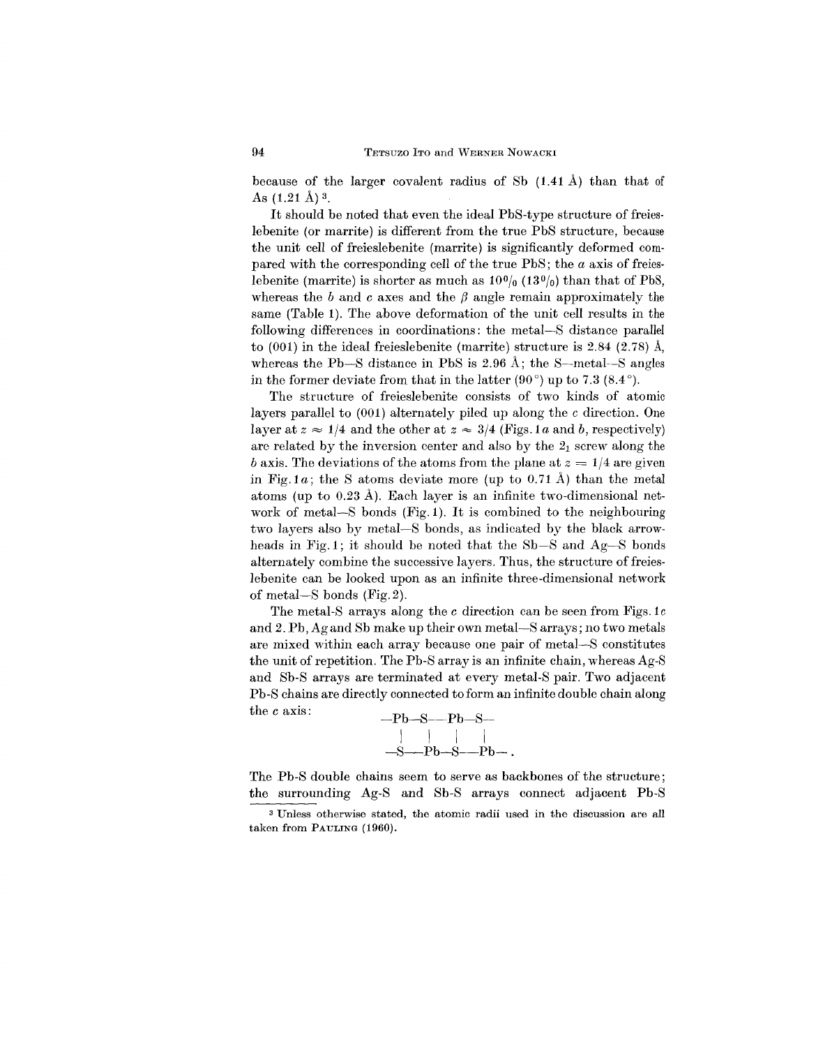because of the larger covalent radius of Sb (1.41 A) than that of As  $(1.21 \text{ Å})$ <sup>3</sup>.

It should be noted that even the ideal PbS-type structure of freieslebenite (or marrite) is different from the true PbS structure, because the unit cell of freieslebenite (marrite) is significantly deformed compared with the corresponding cell of the true PbS; the *a* axis of freieslebenite (marrite) is shorter as much as  $10\%$  ( $13\%$ ) than that of PbS, whereas the b and c axes and the  $\beta$  angle remain approximately the same (Table 1). The above deformation of the unit cell results in the following differences in coordinations: the metal-S distance parallel to  $(001)$  in the ideal freieslebenite (marrite) structure is 2.84  $(2.78)$  Å, whereas the Pb-S distance in PbS is  $2.96 \text{ Å}$ ; the S-metal-S angles in the former deviate from that in the latter  $(90^{\circ})$  up to 7.3  $(8.4^{\circ})$ .

The structure of freieslebenite consists of two kinds of atomic layers parallel to (001) alternately piled up along the *c* direction. One layer at  $z \approx 1/4$  and the other at  $z \approx 3/4$  (Figs. 1a and b, respectively) are related by the inversion center and also by the  $2<sub>1</sub>$  screw along the *b* axis. The deviations of the atoms from the plane at  $z = 1/4$  are given in Fig. 1*a*; the S atoms deviate more (up to 0.71 Å) than the metal atoms (up to 0.23 A). Each layer is an infinite two-dimensional network of metal-S bonds (Fig. 1). It is combined to the neighbouring two layers also by metal-S bonds, as indicated by the black arrowheads in Fig. 1; it should be noted that the Sb-S and Ag-S bonds alternately combine the successive layers. Thus, the structure of freieslebenite can be looked upon as an infinite three-dimensional network of metal-S bonds (Fig. 2).

The metal-S arrays along the *c* direction can be seen from Figs.lc and 2. Pb, Ag and Sb make up their own metal-S arrays; no two metals are mixed within each array because one pair of metal-S constitutes the unit of repetition. The Pb-S array is an infinite chain, whereas Ag-S and Sb-S arrays are terminated at every metal-S pair. Two adjacent Pb-S chains are directly connected to form an infinite double chain along the *c* axis:



The Pb-S double chains seem to serve as backbones of the structure; the surrounding Ag-S and Sb-S arrays connect adjacent Pb-S

<sup>3</sup> Unless otherwise stated, the atomic radii used in the discussion are all taken from PAULING (1960).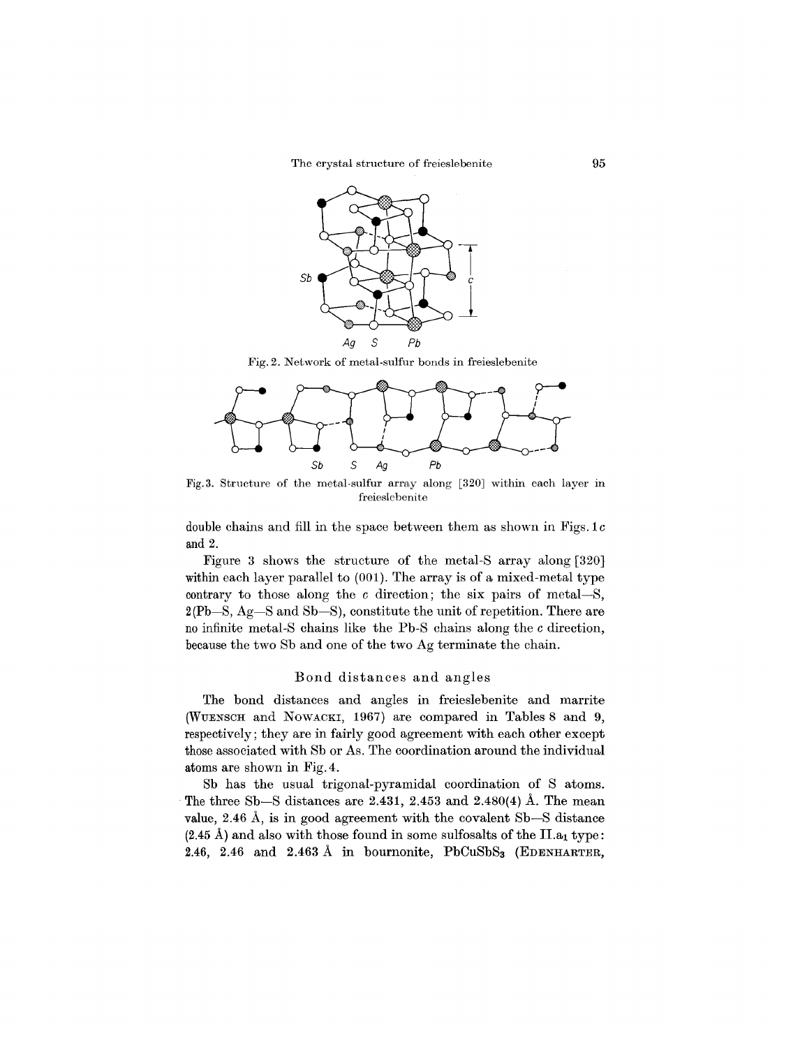The crystal structure of freieslebenite 95



Fig. 2. Network of metal-sulfur bonds in freieslebenite



Fig. 3. Structure of the metal-sulfur array along [320] within each layer in freieslebenite

double chains and fill in the space between them as shown in Figs. 1*c* and 2.

Figure 3 shows the structure of the metal-8 array along [320] within each layer parallel to (001). The array is of a mixed-metal type contrary to those along the *c* direction; the six pairs of metal-8,  $2(Pb-S, Ag-S and Sb-S)$ , constitute the unit of repetition. There are no infinite metal-8 chains like the Pb-8 chains along the *c* direction, because the two 8b and one of the two Ag terminate the chain.

### Bond distances and angles

The bond distances and angles in freieslebenite and marrite (WUENSCH and NOWACKI, 1967) are compared in Tables 8 and 9, respectively; they are in fairly good agreement with each other except those associated with 8b or As. The coordination around the individual atoms are shown in Fig.4.

8b has the usual trigonal-pyramidal coordination of 8 atoms. The three Sb-S distances are 2.431, 2.453 and 2.480 $(4)$  Å. The mean value, 2.46 A, is in good agreement with the covalent 8b-8 distance  $(2.45 \text{ Å})$  and also with those found in some sulfosalts of the II.a<sub>1</sub> type: 2.46, 2.46 and 2.463 Å in bournonite,  $PbCuSbS<sub>3</sub>$  (EDENHARTER,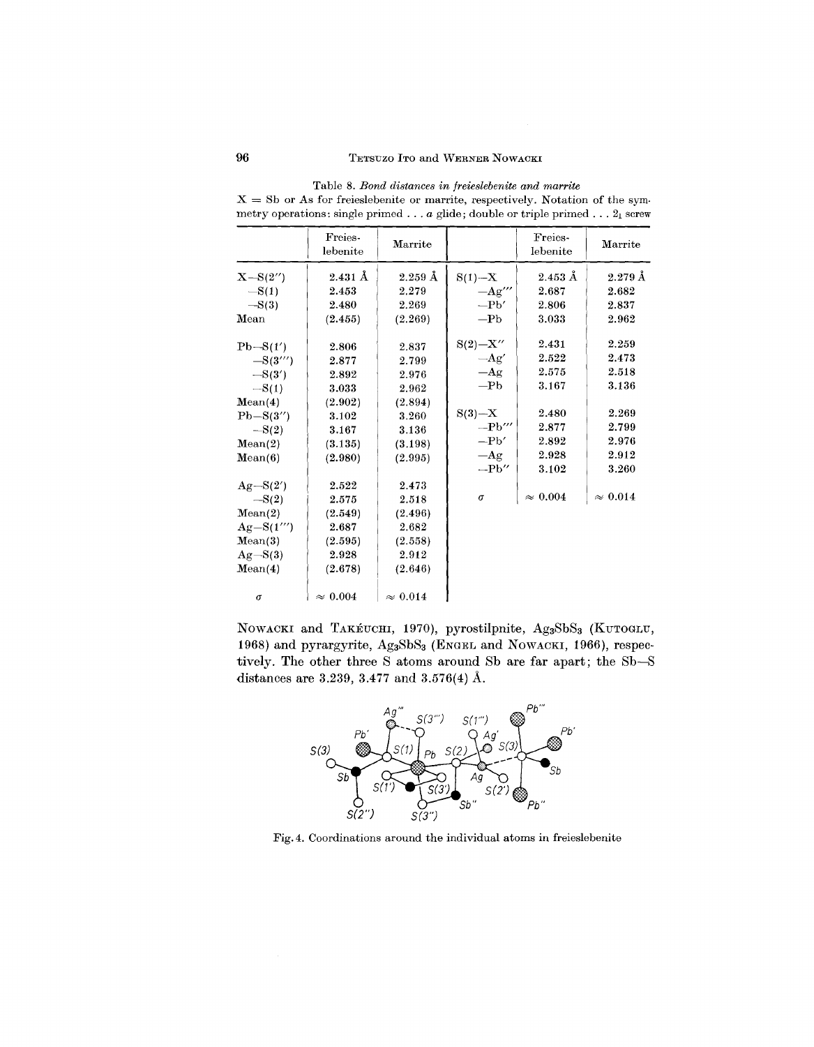|              | Freies-<br>lebenite | Marrite            |                                     | Freies-<br>lebenite | Marrite            |
|--------------|---------------------|--------------------|-------------------------------------|---------------------|--------------------|
| $X - S(2'')$ | $2.431 \text{ Å}$   | $2.259~\text{\AA}$ | $S(1) - X$                          | $2.453~\text{\AA}$  | $2.279~\text{\AA}$ |
| $-S(1)$      | 2.453               | 2.279              | $-Ag'''$                            | 2.687               | 2.682              |
| $-S(3)$      | 2.480               | 2.269              | $-Pb'$                              | 2.806               | 2.837              |
| Mean         | (2.455)             | (2.269)            | $-Pb$                               | 3.033               | 2.962              |
| $Pb-S(1')$   | 2.806               | 2.837              | $S(2) - X''$                        | 2.431               | 2.259              |
| $-S(3''')$   | 2.877               | 2.799              | $-Ag'$                              | 2.522               | 2.473              |
| $-S(3')$     | 2.892               | 2.976              | $-Ag$                               | 2.575               | 2.518              |
| $-S(1)$      | 3.033               | 2.962              | $-Pb$                               | 3.167               | 3.136              |
| Mean(4)      | (2.902)             | (2.894)            |                                     |                     |                    |
| $Pb-S(3'')$  | 3.102               | 3.260              | $S(3)-X$                            | 2.480               | 2.269              |
| $-S(2)$      | 3.167               | 3.136              | $-\mathbf{Pb}^{\prime\prime\prime}$ | 2.877               | 2.799              |
| Mean(2)      | (3.135)             | (3.198)            | $-Pb'$                              | 2.892               | 2.976              |
| Mean(6)      | (2.980)             | (2.995)            | $-Ag$                               | 2.928               | 2.912              |
|              |                     |                    | $-Pb''$                             | 3.102               | 3.260              |
| $Ag-S(2')$   | 2.522               | 2.473              |                                     |                     |                    |
| $-S(2)$      | 2.575               | 2.518              | $\sigma$                            | $\approx\,0.004$    | $\approx 0.014$    |
| Mean(2)      | (2.549)             | (2.496)            |                                     |                     |                    |
| $Ag-S(1''')$ | 2.687               | 2.682              |                                     |                     |                    |
| Mean(3)      | (2.595)             | (2.558)            |                                     |                     |                    |
| $Ag-S(3)$    | 2.928               | 2.912              |                                     |                     |                    |
| Mean(4)      | (2.678)             | (2.646)            |                                     |                     |                    |
| $\sigma$     | $\approx 0.004$     | $\approx 0.014$    |                                     |                     |                    |

Table 8. *Bond distances in freieslebenite and marrite*  $X = Sb$  or As for freieslebenite or marrite, respectively. Notation of the symmetry operations: single primed... *a* glide; double or triple primed...  $2_1$  screw

NOWACKI and TAKÉUCHI, 1970), pyrostilpnite, Ag3SbS3 (KUTOGLU, 1968) and pyrargyrite, AgaSbSa (ENGEL and NOWACKI, 1966), respectively. The other three S atoms around Sb are far apart; the Sb-S distances are 3.239, 3.477 and 3.576(4) A.



Fig.4. Coordinations around the individual atoms in freieslebenite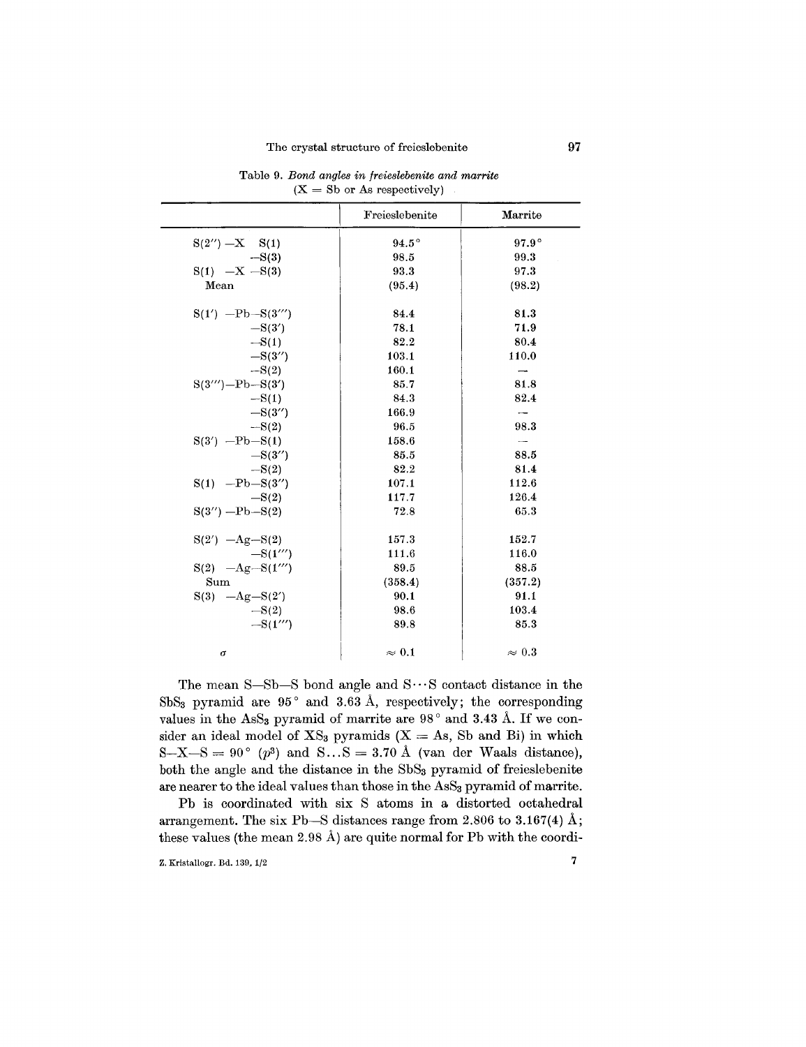|                        | Freieslebenite | Marrite                  |
|------------------------|----------------|--------------------------|
| $S(2'') - X$ $S(1)$    | $94.5^\circ$   | $97.9^\circ$             |
| $-S(3)$                | 98.5           | 99.3                     |
| $S(1)$ $-X - S(3)$     | 93.3           | 97.3                     |
| Mean                   | (95.4)         | (98.2)                   |
| $S(1')$ -Pb- $S(3''')$ | 84.4           | 81.3                     |
| $-S(3')$               | 78.1           | 71.9                     |
| $-S(1)$                | 82.2           | 80.4                     |
| $-S(3'')$              | 103.1          | 110.0                    |
| $-S(2)$                | 160.1          |                          |
| $S(3''')$ -Pb- $S(3')$ | 85.7           | 81.8                     |
| $-S(1)$                | 84.3           | 82.4                     |
| $-S(3'')$              | 166.9          |                          |
| $-S(2)$                | 96.5           | 98.3                     |
| $S(3')$ -Pb-S(1)       | 158.6          | $\overline{\phantom{a}}$ |
| $-S(3'')$              | 85.5           | 88.5                     |
| $-S(2)$                | 82.2           | 81.4                     |
| $S(1)$ -Pb-S(3")       | 107.1          | 112.6                    |
| $-S(2)$                | 117.7          | 126.4                    |
| $S(3'') - Pb - S(2)$   | 72.8           | 65.3                     |
| $S(2') -Ag-S(2)$       | 157.3          | 152.7                    |
| $-S(1''')$             | 111.6          | 116.0                    |
| $S(2)$ -Ag-S(1"')      | 89.5           | 88.5                     |
| Sum                    | (358.4)        | (357.2)                  |
| $S(3) -Ag-S(2')$       | 90.1           | 91.1                     |
| $-S(2)$                | 98.6           | 103.4                    |
| $-S(1''')$             | 89.8           | 85.3                     |
| $\sigma$               | $\approx 0.1$  | $\approx 0.3$            |

Table 9. *Bond angles in jreieslebenite and marrite*  $(X = Sb$  or As respective

The mean  $S-Sb-S$  bond angle and  $S\cdots S$  contact distance in the SbS<sub>3</sub> pyramid are  $95^{\circ}$  and  $3.63 \text{ Å}$ , respectively; the corresponding values in the AsS<sub>3</sub> pyramid of marrite are  $98^\circ$  and  $3.43 \text{ Å}$ . If we consider an ideal model of  $XS_3$  pyramids  $(X = As, Sb$  and Bi) in which  $S-X-S = 90^{\circ}$  (p<sup>3</sup>) and  $S...S = 3.70$  Å (van der Waals distance), both the angle and the distance in the SbS<sub>3</sub> pyramid of freieslebenite are nearer to the ideal values than those in the AsS<sub>3</sub> pyramid of marrite.

Pb is coordinated with six S atoms in a distorted octahedral arrangement. The six Pb-S distances range from 2.806 to 3.167(4)  $\AA$ ; these values (the mean 2.98 A) are quite normal for Pb with the coordi-

Z. Kristallogr. Bd. 139, 1/2 7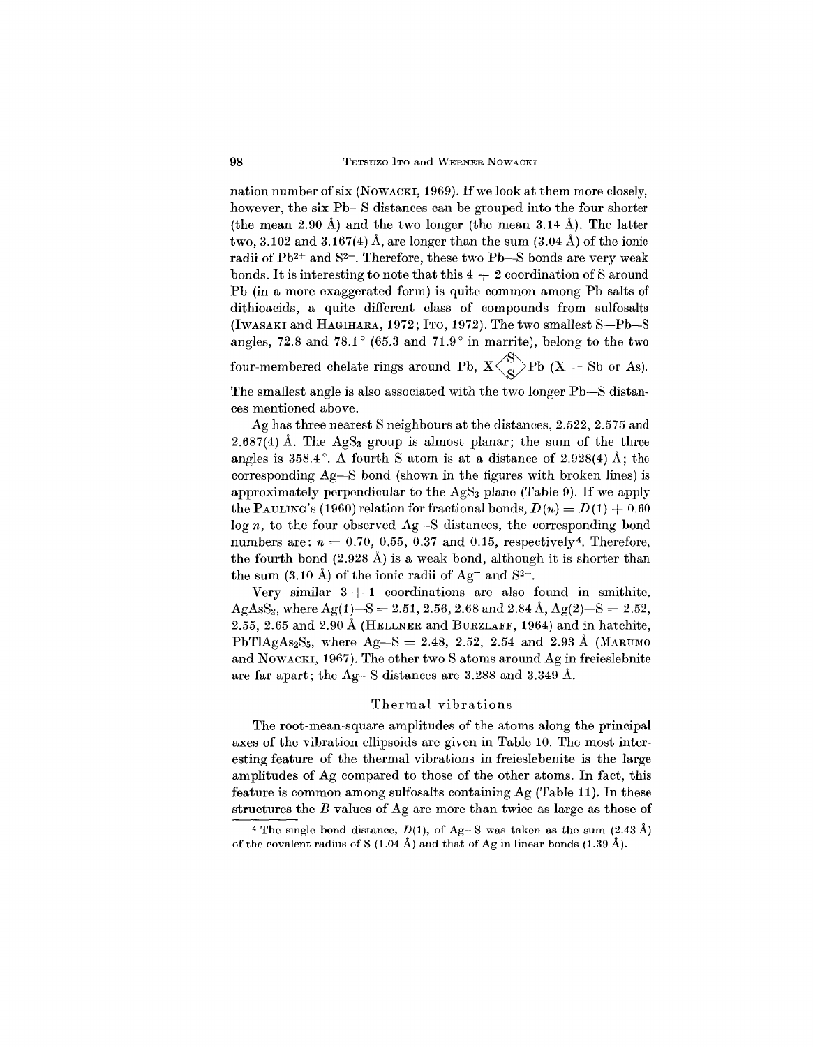nation number of six (NOWACKI, 1969). If we look at them more closely, however, the six Pb-S distances can be grouped into the four shorter (the mean 2.90 Å) and the two longer (the mean 3.14 Å). The latter two, 3.102 and 3.167(4) A, are longer than the sum  $(3.04 \text{ Å})$  of the ionic radii of Pb<sup>2+</sup> and S<sup>2-</sup>. Therefore, these two Pb-S bonds are very weak bonds. It is interesting to note that this  $4 + 2$  coordination of S around Pb (in a more exaggerated form) is quite common among Pb salts of dithioacids, a quite different class of compounds from sulfosalts (IWASAKIand HAGIHARA, 1972; ITO, 1972). The two smallest S-Pb-S angles, 72.8 and 78.1 $\degree$  (65.3 and 71.9 $\degree$  in marrite), belong to the two four-membered chelate rings around Pb,  $X \langle \begin{array}{c} \chi \end{array} \rangle$ Pb (X = Sb or As). The smallest angle is also associated with the two longer Pb-S distances mentioned above.

Ag has three nearest S neighbours at the distances, 2.522, 2.575 and 2.687(4) Å. The  $AgS<sub>3</sub>$  group is almost planar; the sum of the three angles is  $358.4^{\circ}$ . A fourth S atom is at a distance of  $2.928(4)$  Å; the corresponding  $Ag-S$  bond (shown in the figures with broken lines) is approximately perpendicular to the  $AgS<sub>3</sub>$  plane (Table 9). If we apply the PAULING's (1960) relation for fractional bonds,  $D(n) = D(1) + 0.60$ log *n,* to the four observed Ag-S distances, the corresponding bond numbers are:  $n = 0.70, 0.55, 0.37$  and 0.15, respectively<sup>4</sup>. Therefore the fourth bond  $(2.928 \text{ Å})$  is a weak bond, although it is shorter than the sum  $(3.10 \text{ Å})$  of the ionic radii of  $\text{Ag}^+$  and  $\text{S}^{2-}$ .

Very similar  $3 + 1$  coordinations are also found in smithite,  $\mathrm{AgAsS}_2,$  where  $\mathrm{Ag(1)}$   $\text{--S} = 2.51,\,2.56,\,2.68\,\text{and}\ 2.84\,\text{\AA}, \mathrm{Ag(2)}$   $\text{--S} = 2.52$ 2.55, 2.65 and 2.90 Å (HELLNER and BURZLAFF, 1964) and in hatchite.  $PbT1AgAs<sub>2</sub>S<sub>5</sub>$ , where  $Ag-S = 2.48$ , 2.52, 2.54 and 2.93 Å (MARUM and NOWACKI, 1967). The other two S atoms around Ag in freieslebnite are far apart; the Ag-S distances are 3.288 and 3.349 A.

### Thermal vibrations

The root-mean-square amplitudes of the atoms along the principal axes of the vibration ellipsoids are given in Table 10. The most interesting feature of the thermal vibrations in freieslebenite is the large amplitudes of Ag compared to those of the other atoms. In fact, this feature is common among sulfosalts containing Ag (Table 11). In these structures the *B* values of Ag are more than twice as large as those of

<sup>&</sup>lt;sup>4</sup> The single bond distance,  $D(1)$ , of Ag-S was taken as the sum  $(2.43 \text{ Å})$ of the covalent radius of S (1.04 Å) and that of Ag in linear bonds (1.39 Å).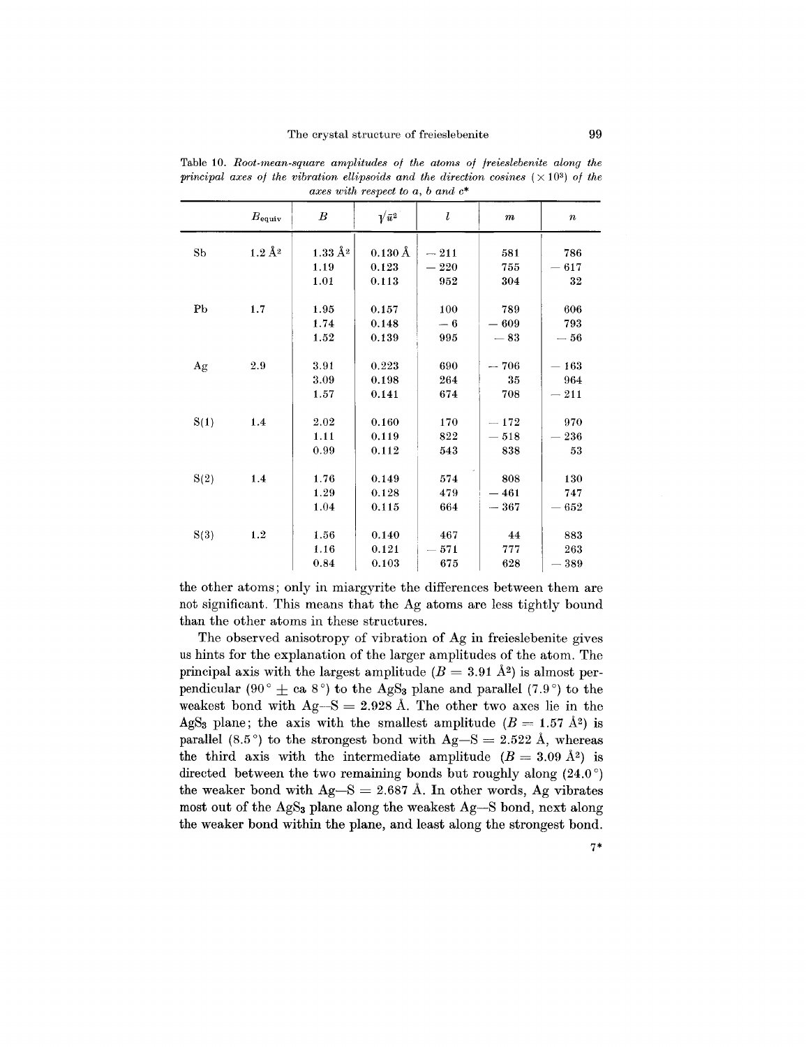|                |                 |                        | $\omega$ and $\omega$ below to $\omega$ , $\omega$ and $\omega$ |           |        |                  |
|----------------|-----------------|------------------------|-----------------------------------------------------------------|-----------|--------|------------------|
|                | $B_{\rm equiv}$ | $\boldsymbol{B}$       | $\sqrt{\bar{u}^2}$                                              | ı         | $\,m$  | $\boldsymbol{n}$ |
| S <sub>b</sub> | $1.2 \AA2$      | $1.33\,\mathrm{\AA}^2$ | $0.130\,\text{\AA}$                                             | $-211$    | 581    | 786              |
|                |                 |                        |                                                                 |           |        |                  |
|                |                 | 1.19                   | 0.123                                                           | $-~220\,$ | 755    | $-617$           |
|                |                 | 1.01                   | 0.113                                                           | 952       | 304    | 32               |
|                |                 |                        |                                                                 |           |        |                  |
| P <sub>b</sub> | 1.7             | 1.95                   | 0.157                                                           | 100       | 789    | 606              |
|                |                 | 1.74                   | 0.148                                                           | $-6$      | $-609$ | 793              |
|                |                 | 1.52                   | 0.139                                                           | 995       | $-83$  | $- \, 56$        |
|                |                 |                        |                                                                 |           |        |                  |
| Ag             | 2.9             | 3.91                   | 0.223                                                           | 690       | $-706$ | $-163$           |
|                |                 | 3.09                   | 0.198                                                           | 264       | 35     | 964              |
|                |                 | 1.57                   | 0.141                                                           | 674       | 708    | $-211$           |
|                |                 |                        |                                                                 |           |        |                  |
| S(1)           | 1.4             | 2.02                   | 0.160                                                           | 170       | $-172$ | 970              |
|                |                 | 1.11                   | 0.119                                                           | 822       | $-518$ | $-236$           |
|                |                 | 0.99                   | 0.112                                                           | 543       | 838    | 53               |
|                |                 |                        |                                                                 |           |        |                  |
| S(2)           | 1.4             | 1.76                   | 0.149                                                           | 574       | 808    | 130              |
|                |                 | 1.29                   | 0.128                                                           | 479       | $-461$ | 747              |
|                |                 | 1.04                   | 0.115                                                           | 664       | $-367$ | $=652$           |
|                |                 |                        |                                                                 |           |        |                  |
|                | 1.2             | 1.56                   | 0.140                                                           | 467       | 44     | 883              |
| S(3)           |                 |                        |                                                                 |           |        |                  |
|                |                 | 1.16                   | 0.121                                                           | $-571$    | 777    | 263              |
|                |                 | 0.84                   | 0.103                                                           | 675       | 628    | $-389$           |

Table 10. *Root-mean-8quare amplitude8 oj the atom8 oj jreie8lebenite along the principal axes of the vibration ellipsoids and the direction cosines*  $(\times 10^3)$  *of the axe8 with re8pect to a, band* c\*

the other atoms; only in miargyrite the differences between them are not significant. This means that the Ag atoms are less tightly bound than the other atoms in these structures.

The observed anisotropy of vibration of Ag in freieslebenite gives us hints for the explanation of the larger amplitudes of the atom. The principal axis with the largest amplitude  $(B = 3.91 \text{ Å}^2)$  is almost perpendicular (90  $^{\circ}$   $\pm$  ca 8  $^{\circ}$ ) to the AgS<sub>3</sub> plane and parallel (7.9  $^{\circ}$ ) to the weakest bond with  $\text{Ag--S}=2.928$  Å. The other two axes lie in the AgS<sub>3</sub> plane; the axis with the smallest amplitude  $(B = 1.57 \text{ Å}^2)$  is parallel (8.5°) to the strongest bond with  $Ag-S = 2.522 \text{ Å}$ , whereas the third axis with the intermediate amplitude  $(B = 3.09 \text{ Å}^2)$  is directed between the two remaining bonds but roughly along  $(24.0^{\circ})$ the weaker bond with  $Ag-S = 2.687$  Å. In other words, Ag vibrates most out of the AgS<sub>3</sub> plane along the weakest Ag-S bond, next along the weaker bond within the plane, and least along the strongest bond.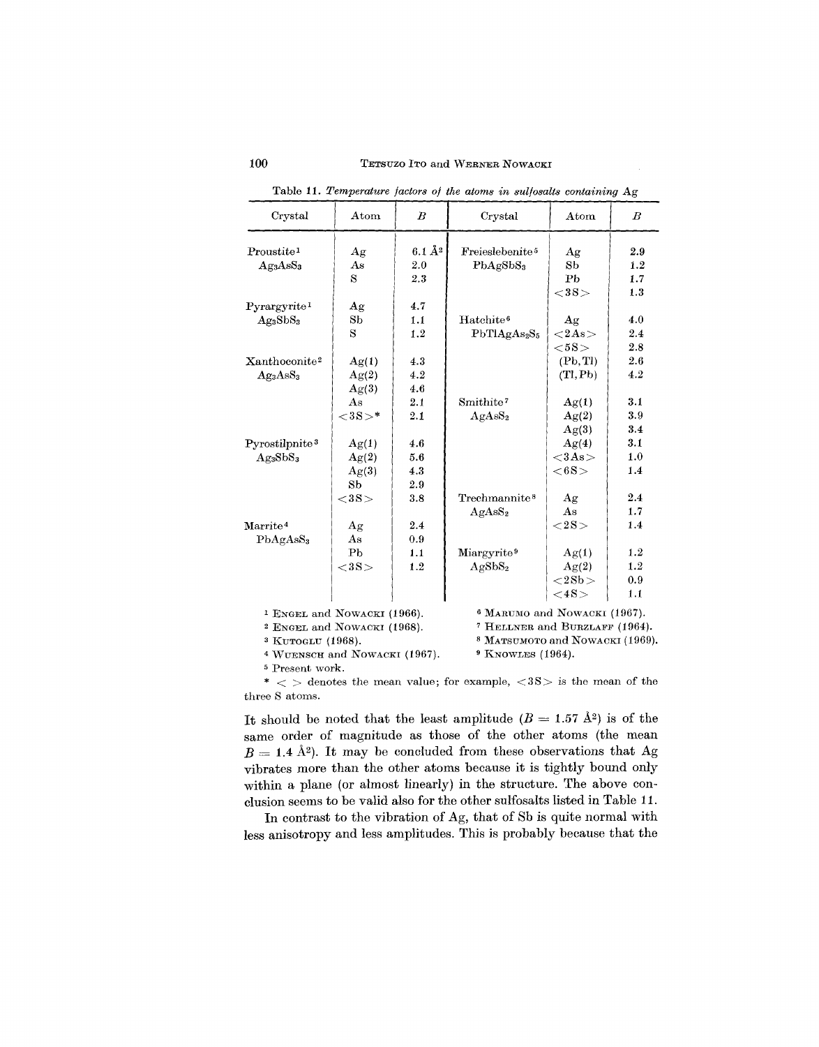| Crystal                          | $_{\rm Atom}$                                                                     | $_{B}$                 | Crystal                     | Atom                            | $\boldsymbol{B}$ |  |  |
|----------------------------------|-----------------------------------------------------------------------------------|------------------------|-----------------------------|---------------------------------|------------------|--|--|
| Proustite <sup>1</sup>           | Ag                                                                                | $6.1 \AA$ <sup>2</sup> | Freieslebenite <sup>5</sup> | Αg                              | 2.9              |  |  |
| Ag <sub>3</sub> AsS <sub>3</sub> | As                                                                                | 2.0                    | PbAgSbS <sub>3</sub>        | S <sub>b</sub>                  | 1.2              |  |  |
|                                  | S                                                                                 | 2.3                    |                             | P <sub>b</sub>                  | 1.7              |  |  |
|                                  |                                                                                   |                        |                             | $<$ 3 $S$ $>$                   | 1.3              |  |  |
| Pyrargyrite <sup>1</sup>         | Ag                                                                                | 4.7                    |                             |                                 |                  |  |  |
| $Ag_3SbS_3$                      | $_{\rm Sb}$                                                                       | 1.1                    | Hatchite <sup>6</sup>       | Αg                              | 4.0              |  |  |
|                                  | S                                                                                 | 1.2                    | PbTlAgAs2S <sub>5</sub>     | ${<}2\mathrm{As} \mathop{>}$    | 2.4              |  |  |
|                                  |                                                                                   |                        |                             | $58>$                           | 2.8              |  |  |
| Xanthoconite <sup>2</sup>        | Ag(1)                                                                             | 4.3                    |                             | (Pb, Tl)                        | 2.6              |  |  |
| Ag <sub>3</sub> AsS <sub>3</sub> | Ag(2)                                                                             | 4.2                    |                             | (Tl, Pb)                        | 4.2              |  |  |
|                                  | Ag(3)                                                                             | 4.6                    |                             |                                 |                  |  |  |
|                                  | As                                                                                | 2.1                    | Smithite <sup>7</sup>       | Ag(1)                           | 3.1              |  |  |
|                                  | $<38>$ *                                                                          | 2.1                    | AgAsS <sub>2</sub>          | Ag(2)                           | 3.9              |  |  |
|                                  |                                                                                   |                        |                             | Ag(3)                           | 3.4              |  |  |
| Pyrostilpnite <sup>3</sup>       | Ag(1)                                                                             | 4.6                    |                             | Ag(4)                           | 3.1              |  |  |
| AgaSbS <sub>3</sub>              | Ag(2)                                                                             | 5.6                    |                             | ${<}3\mathrm{\AA s}\mathord{>}$ | 1.0              |  |  |
|                                  | Ag(3)                                                                             | 4.3                    |                             | ${<}68{>}$                      | 1.4              |  |  |
|                                  | S <sub>b</sub>                                                                    | 2.9                    |                             |                                 |                  |  |  |
|                                  | ${<}38{>}$                                                                        | 3.8                    | Trechmannite <sup>8</sup>   | Αg                              | 2.4              |  |  |
|                                  |                                                                                   |                        | AgAsS <sub>2</sub>          | As                              | 1.7              |  |  |
| Marrite <sup>4</sup>             | Ag                                                                                | 2.4                    |                             | ${<}28{>}$                      | 1.4              |  |  |
| PbAgAsS <sub>3</sub>             | As                                                                                | 0.9                    |                             |                                 |                  |  |  |
|                                  | P <sub>b</sub>                                                                    | 1.1                    | Miargyrite <sup>9</sup>     | Ag(1)                           | 1.2              |  |  |
|                                  | ${<}38{>}$                                                                        | 1.2                    | AgSbS <sub>2</sub>          | Ag(2)                           | 1.2              |  |  |
|                                  |                                                                                   |                        |                             | $<$ 2Sb $>$                     | 0.9              |  |  |
|                                  |                                                                                   |                        |                             | $<$ 4 $S$ $>$                   | 1.1              |  |  |
|                                  | <sup>6</sup> MARUMO and NOWACKI (1967).<br><sup>1</sup> ENGEL and NOWACKI (1966). |                        |                             |                                 |                  |  |  |

Table 11. Temperature factors of the atoms in sulfosalts containing Ag

<sup>1</sup> ENGEL and NOWACKI (1966). <sup>2</sup> ENGEL and NOWACKI (1968). <sup>7</sup> HELLNER and BURZLAFF (1964).

<sup>3</sup> KUTOGLU (1968).

<sup>4</sup> WUENSCH and NOWACKI (1967).

8 MATSUMOTO and NOWACKI (1969).

<sup>5</sup> Present work.

<sup>9</sup> KNOWLES (1964).

 $*$  < > denotes the mean value; for example, <3S > is the mean of the three S atoms.

It should be noted that the least amplitude  $(B = 1.57 \text{ Å}^2)$  is of the same order of magnitude as those of the other atoms (the mean  $B = 1.4$  Å<sup>2</sup>). It may be concluded from these observations that Ag vibrates more than the other atoms because it is tightly bound only within a plane (or almost linearly) in the structure. The above conclusion seems to be valid also for the other sulfosalts listed in Table 11.

In contrast to the vibration of Ag, that of Sb is quite normal with less anisotropy and less amplitudes. This is probably because that the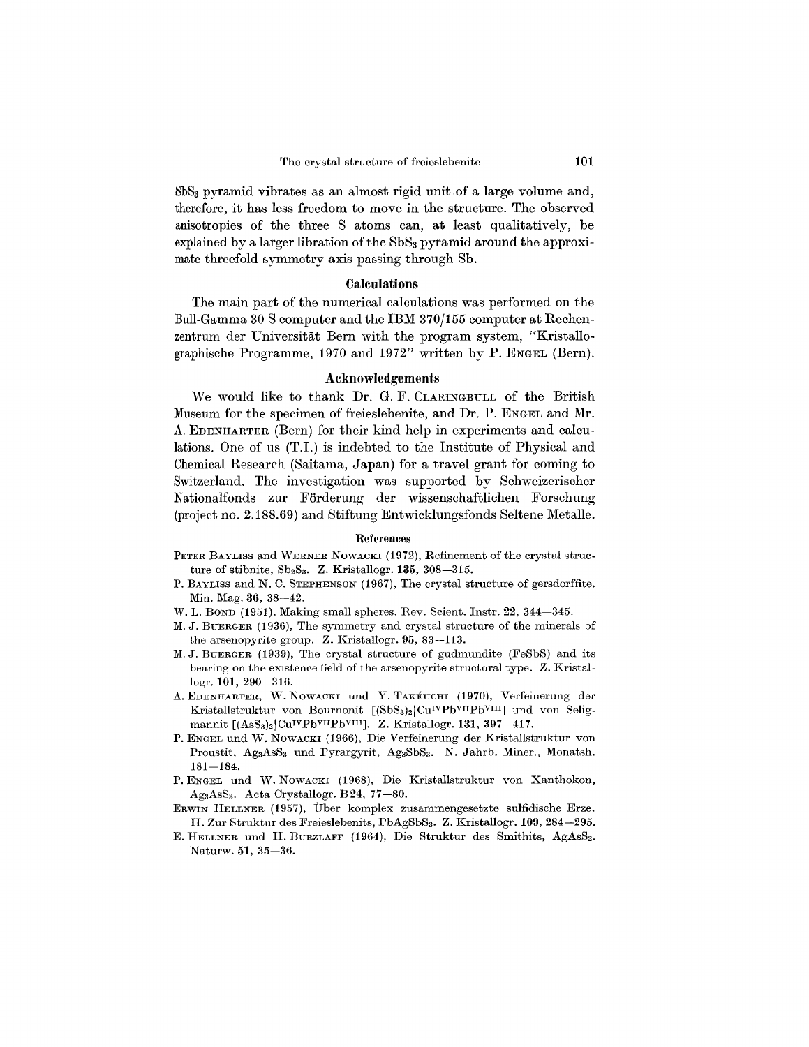SbS<sub>3</sub> pyramid vibrates as an almost rigid unit of a large volume and, therefore, it has less freedom to move in the structure. The observed anisotropies of the three S atoms can, at least qualitatively, be explained by a larger libration of the SbS<sub>3</sub> pyramid around the approximate threefold symmetry axis passing through Sb.

### Calculations

The main part of the numerical calculations was performed on the Bull-Gamma 30 S computer and the IBM 370/155 computer at Rechenzentrum der Universitat Bern with the program system, "Kristallographische Programme, 1970 and 1972" written by P. ENGEL (Bern).

### Acknowledgements

We would like to thank Dr. G. F. CLARINGBULL of the British Museum for the specimen of freieslebenite, and Dr. P. ENGEL and Mr. A. EDENHARTER(Bern) for their kind help in experiments and calculations. One of us (T.I.) is indebted to the Institute of Physical and Chemical Research (Saitama, Japan) for a travel grant for coming to Switzerland. The investigation was supported by Schweizerischer Nationalfonds zur Förderung der wissenschaftlichen Forschung (project no. 2.188.69) and Stiftung Entwicklungsfonds Seltene Metalle.

#### References

- PETER BAYLISS and WERNER NOWACKI (1972), Refinement of the crystal structure of stibnite,  $Sb_2S_3$ . Z. Kristallogr. 135, 308-315.
- P. BAYLISS and N. C. STEPHENSON (1967), The crystal structure of gersdorffite. Min. Mag. 36, 38-42.
- W. L. BOND (1951), Making small spheres. Rev. Scient. Instr. 22, 344-345.
- M. J. BUERGER (1936), The symmetry and crystal structure of the minerals of the arsenopyrite group. Z. Kristallogr. 95, 83-113.
- M. J. BUERGER (1939), The crystal structure of gudmundite (FeSbS) and its bearing on the existence field of the arsenopyrite structural type. Z. Kristallogr. 101, 290-316.
- A. EDENHARTER, W. NOWACKI und Y. TAKEUCHI (1970), Verfeinerung der Kristallstruktur von Bournonit [(SbS3)2|Cu<sup>IVPbVII</sup>Pb<sup>VIII</sup>] und von Seligmannit  $[(\text{AsS}_3)_2]\text{Cu}^{IV}\text{Pb}^{VII}\text{Pb}^{VIII}]$ . Z. Kristallogr. 131, 397-417.
- P. ENGEL und W. NOWACKI (1966), Die Verfeinerung der Kristallstruktur von Proustit, Ag<sub>3</sub>AsS<sub>3</sub> und Pyrargyrit, Ag<sub>3</sub>SbS<sub>3</sub>. N. Jahrb. Miner., Monatsh.  $181 - 184$ .
- P. ENGEL und W. NOWACKI (1968), Die Kristallstruktur von Xanthokon, AgaAsSa. Acta Crystallogr. B24, 77-80.
- ERWIN HELLNER (1957), Uber komplex zusammengesetzte sulfidische Erze. II. Zur Struktur des Freieslebenits, PbAgSbSa. Z. Kristallogr. 109, 284-295.
- E. HELLNER und H. BURZLAFF (1964), Die Struktur des Smithits, AgAsS<sub>2</sub>. Naturw. 51, 35-36.